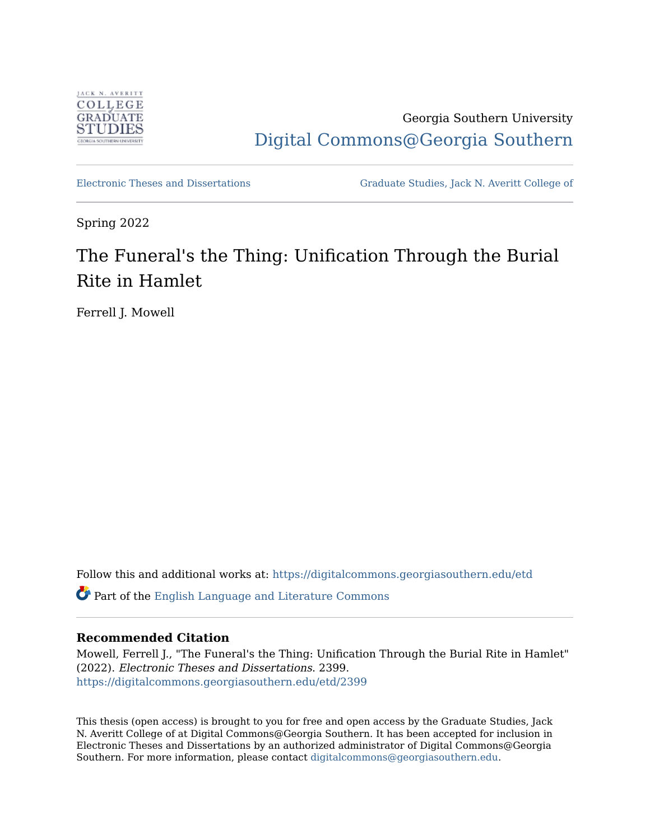

Georgia Southern University [Digital Commons@Georgia Southern](https://digitalcommons.georgiasouthern.edu/) 

[Electronic Theses and Dissertations](https://digitalcommons.georgiasouthern.edu/etd) [Graduate Studies, Jack N. Averitt College of](https://digitalcommons.georgiasouthern.edu/cogs) 

Spring 2022

# The Funeral's the Thing: Unification Through the Burial Rite in Hamlet

Ferrell J. Mowell

Follow this and additional works at: [https://digitalcommons.georgiasouthern.edu/etd](https://digitalcommons.georgiasouthern.edu/etd?utm_source=digitalcommons.georgiasouthern.edu%2Fetd%2F2399&utm_medium=PDF&utm_campaign=PDFCoverPages) 

Part of the [English Language and Literature Commons](https://network.bepress.com/hgg/discipline/455?utm_source=digitalcommons.georgiasouthern.edu%2Fetd%2F2399&utm_medium=PDF&utm_campaign=PDFCoverPages)

### **Recommended Citation**

Mowell, Ferrell J., "The Funeral's the Thing: Unification Through the Burial Rite in Hamlet" (2022). Electronic Theses and Dissertations. 2399. [https://digitalcommons.georgiasouthern.edu/etd/2399](https://digitalcommons.georgiasouthern.edu/etd/2399?utm_source=digitalcommons.georgiasouthern.edu%2Fetd%2F2399&utm_medium=PDF&utm_campaign=PDFCoverPages) 

This thesis (open access) is brought to you for free and open access by the Graduate Studies, Jack N. Averitt College of at Digital Commons@Georgia Southern. It has been accepted for inclusion in Electronic Theses and Dissertations by an authorized administrator of Digital Commons@Georgia Southern. For more information, please contact [digitalcommons@georgiasouthern.edu](mailto:digitalcommons@georgiasouthern.edu).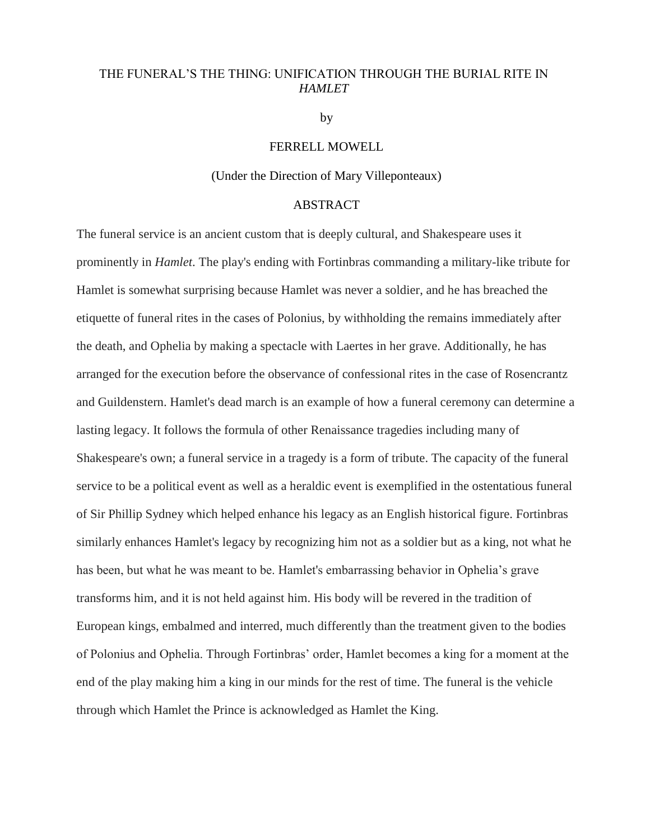### THE FUNERAL'S THE THING: UNIFICATION THROUGH THE BURIAL RITE IN *HAMLET*

by

### FERRELL MOWELL

### (Under the Direction of Mary Villeponteaux)

#### ABSTRACT

The funeral service is an ancient custom that is deeply cultural, and Shakespeare uses it prominently in *Hamlet*. The play's ending with Fortinbras commanding a military-like tribute for Hamlet is somewhat surprising because Hamlet was never a soldier, and he has breached the etiquette of funeral rites in the cases of Polonius, by withholding the remains immediately after the death, and Ophelia by making a spectacle with Laertes in her grave. Additionally, he has arranged for the execution before the observance of confessional rites in the case of Rosencrantz and Guildenstern. Hamlet's dead march is an example of how a funeral ceremony can determine a lasting legacy. It follows the formula of other Renaissance tragedies including many of Shakespeare's own; a funeral service in a tragedy is a form of tribute. The capacity of the funeral service to be a political event as well as a heraldic event is exemplified in the ostentatious funeral of Sir Phillip Sydney which helped enhance his legacy as an English historical figure. Fortinbras similarly enhances Hamlet's legacy by recognizing him not as a soldier but as a king, not what he has been, but what he was meant to be. Hamlet's embarrassing behavior in Ophelia's grave transforms him, and it is not held against him. His body will be revered in the tradition of European kings, embalmed and interred, much differently than the treatment given to the bodies of Polonius and Ophelia. Through Fortinbras' order, Hamlet becomes a king for a moment at the end of the play making him a king in our minds for the rest of time. The funeral is the vehicle through which Hamlet the Prince is acknowledged as Hamlet the King.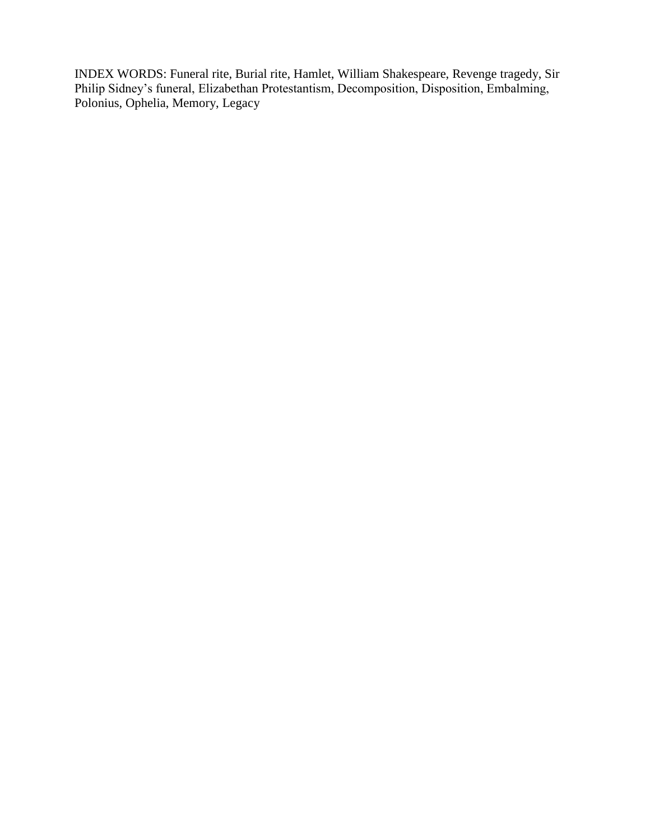INDEX WORDS: Funeral rite, Burial rite, Hamlet, William Shakespeare, Revenge tragedy, Sir Philip Sidney's funeral, Elizabethan Protestantism, Decomposition, Disposition, Embalming, Polonius, Ophelia, Memory, Legacy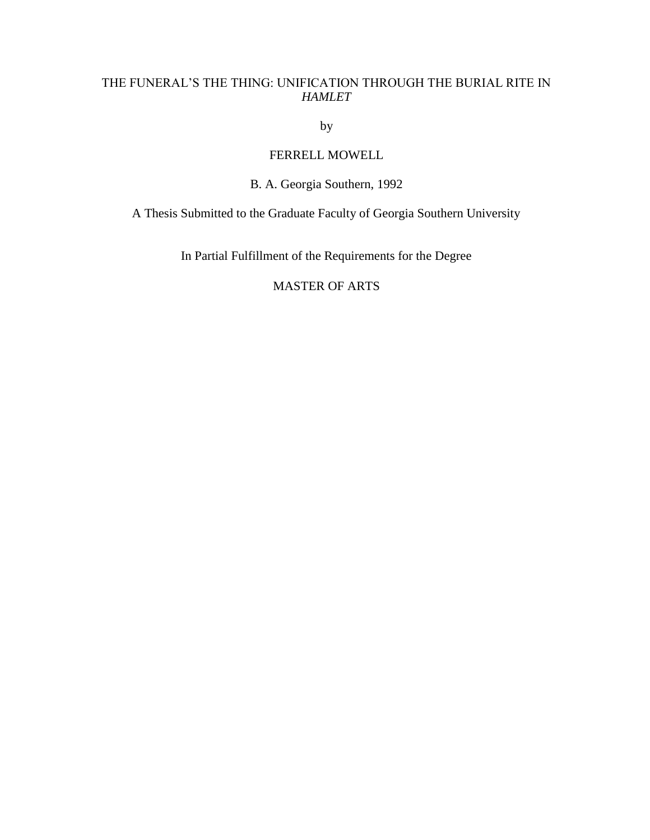## THE FUNERAL'S THE THING: UNIFICATION THROUGH THE BURIAL RITE IN *HAMLET*

by

# FERRELL MOWELL

# B. A. Georgia Southern, 1992

A Thesis Submitted to the Graduate Faculty of Georgia Southern University

In Partial Fulfillment of the Requirements for the Degree

# MASTER OF ARTS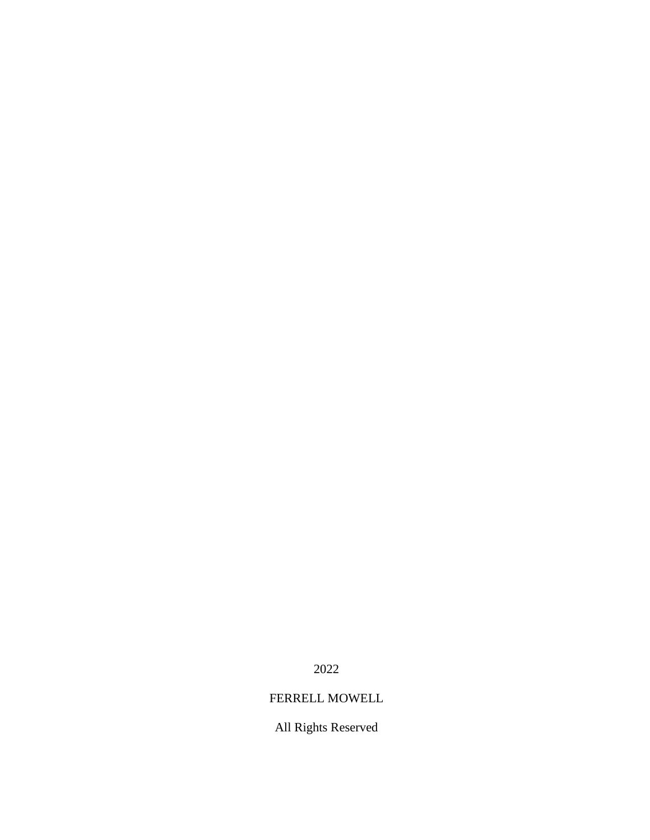2022

# FERRELL MOWELL

All Rights Reserved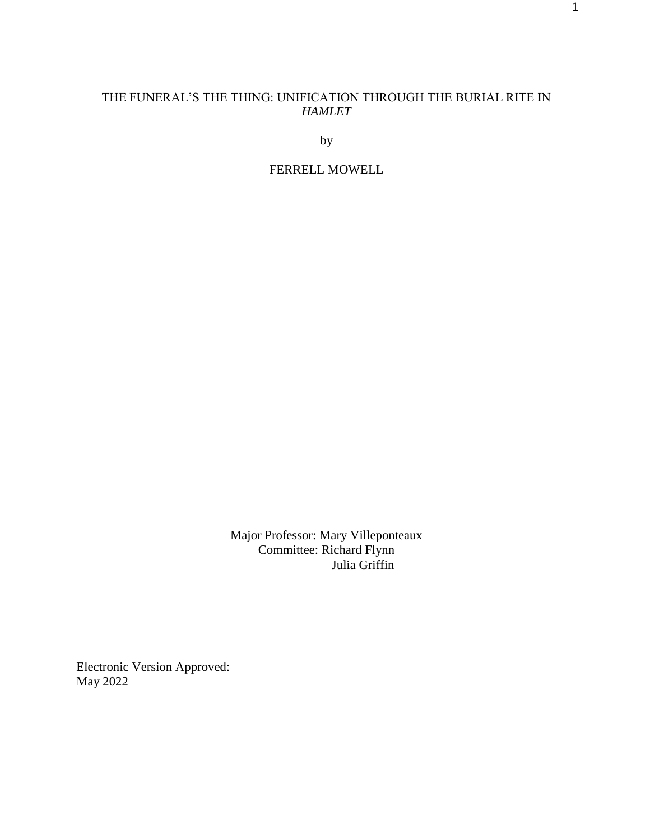# THE FUNERAL'S THE THING: UNIFICATION THROUGH THE BURIAL RITE IN *HAMLET*

by

# FERRELL MOWELL

Major Professor: Mary Villeponteaux Committee: Richard Flynn Julia Griffin

Electronic Version Approved: May 2022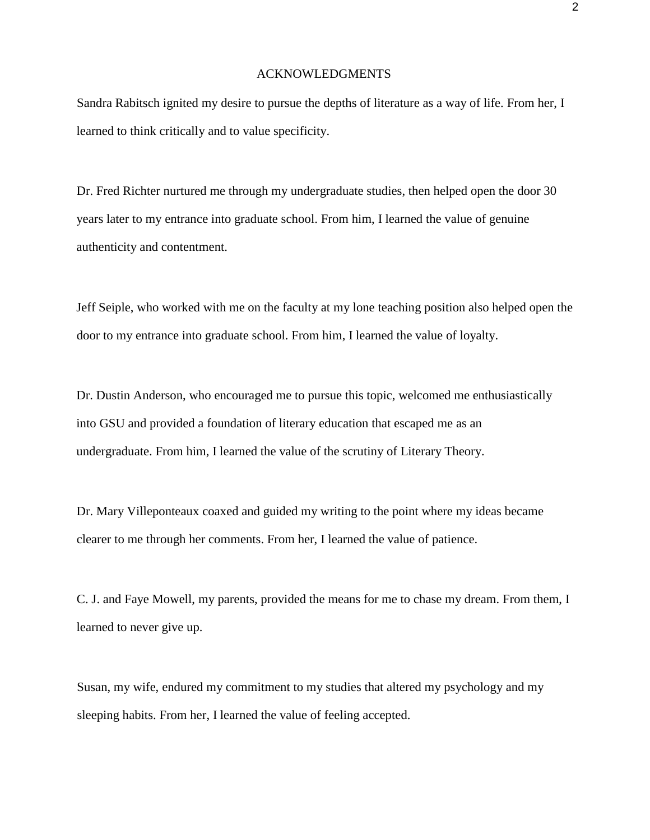#### ACKNOWLEDGMENTS

Sandra Rabitsch ignited my desire to pursue the depths of literature as a way of life. From her, I learned to think critically and to value specificity.

Dr. Fred Richter nurtured me through my undergraduate studies, then helped open the door 30 years later to my entrance into graduate school. From him, I learned the value of genuine authenticity and contentment.

Jeff Seiple, who worked with me on the faculty at my lone teaching position also helped open the door to my entrance into graduate school. From him, I learned the value of loyalty.

Dr. Dustin Anderson, who encouraged me to pursue this topic, welcomed me enthusiastically into GSU and provided a foundation of literary education that escaped me as an undergraduate. From him, I learned the value of the scrutiny of Literary Theory.

Dr. Mary Villeponteaux coaxed and guided my writing to the point where my ideas became clearer to me through her comments. From her, I learned the value of patience.

C. J. and Faye Mowell, my parents, provided the means for me to chase my dream. From them, I learned to never give up.

Susan, my wife, endured my commitment to my studies that altered my psychology and my sleeping habits. From her, I learned the value of feeling accepted.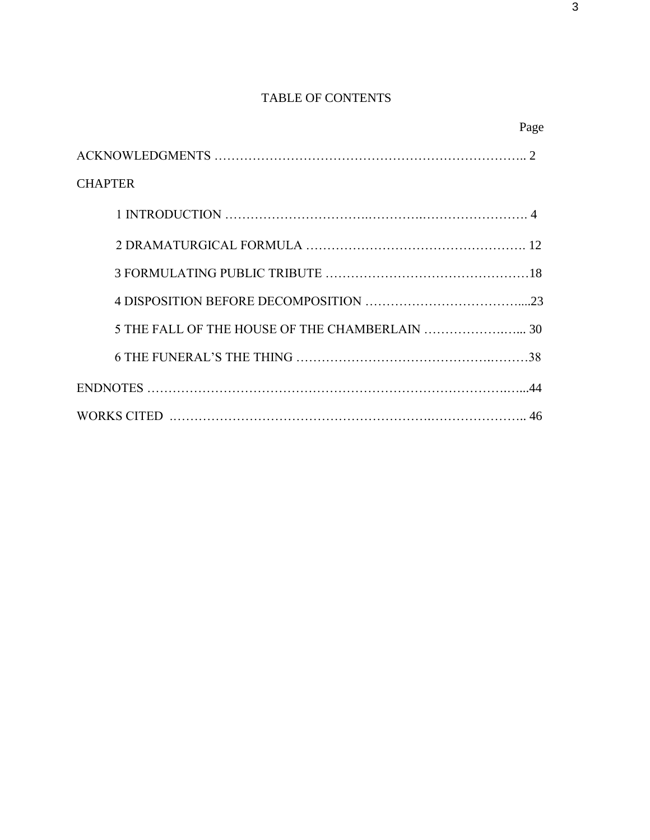# TABLE OF CONTENTS

|                                                | Page |
|------------------------------------------------|------|
|                                                |      |
| <b>CHAPTER</b>                                 |      |
|                                                |      |
|                                                |      |
|                                                |      |
|                                                |      |
| 5 THE FALL OF THE HOUSE OF THE CHAMBERLAIN  30 |      |
|                                                |      |
|                                                |      |
|                                                |      |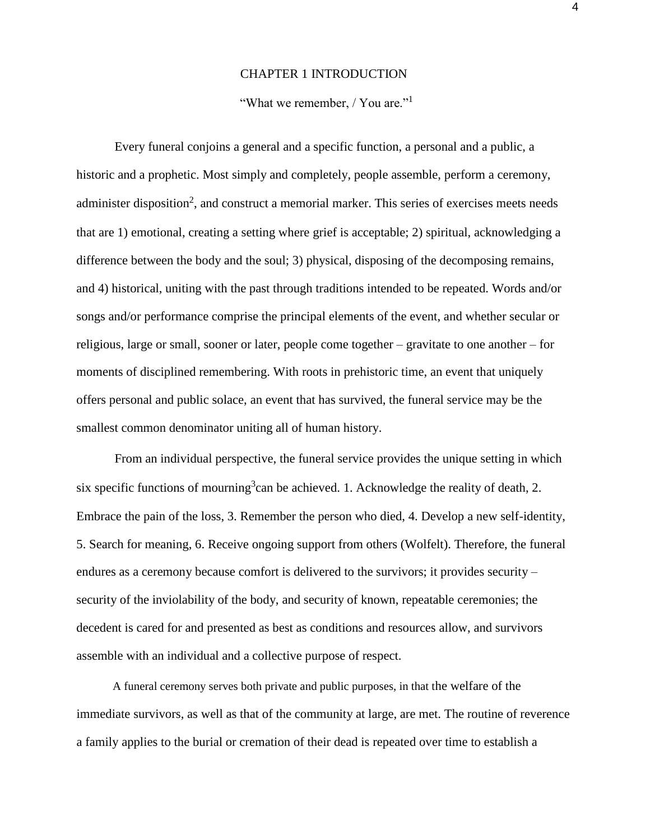#### CHAPTER 1 INTRODUCTION

### "What we remember, / You are."<sup>1</sup>

Every funeral conjoins a general and a specific function, a personal and a public, a historic and a prophetic. Most simply and completely, people assemble, perform a ceremony, administer disposition<sup>2</sup>, and construct a memorial marker. This series of exercises meets needs that are 1) emotional, creating a setting where grief is acceptable; 2) spiritual, acknowledging a difference between the body and the soul; 3) physical, disposing of the decomposing remains, and 4) historical, uniting with the past through traditions intended to be repeated. Words and/or songs and/or performance comprise the principal elements of the event, and whether secular or religious, large or small, sooner or later, people come together – gravitate to one another – for moments of disciplined remembering. With roots in prehistoric time, an event that uniquely offers personal and public solace, an event that has survived, the funeral service may be the smallest common denominator uniting all of human history.

From an individual perspective, the funeral service provides the unique setting in which six specific functions of mourning<sup>3</sup> can be achieved. 1. Acknowledge the reality of death, 2. Embrace the pain of the loss, 3. Remember the person who died, 4. Develop a new self-identity, 5. Search for meaning, 6. Receive ongoing support from others (Wolfelt). Therefore, the funeral endures as a ceremony because comfort is delivered to the survivors; it provides security – security of the inviolability of the body, and security of known, repeatable ceremonies; the decedent is cared for and presented as best as conditions and resources allow, and survivors assemble with an individual and a collective purpose of respect.

A funeral ceremony serves both private and public purposes, in that the welfare of the immediate survivors, as well as that of the community at large, are met. The routine of reverence a family applies to the burial or cremation of their dead is repeated over time to establish a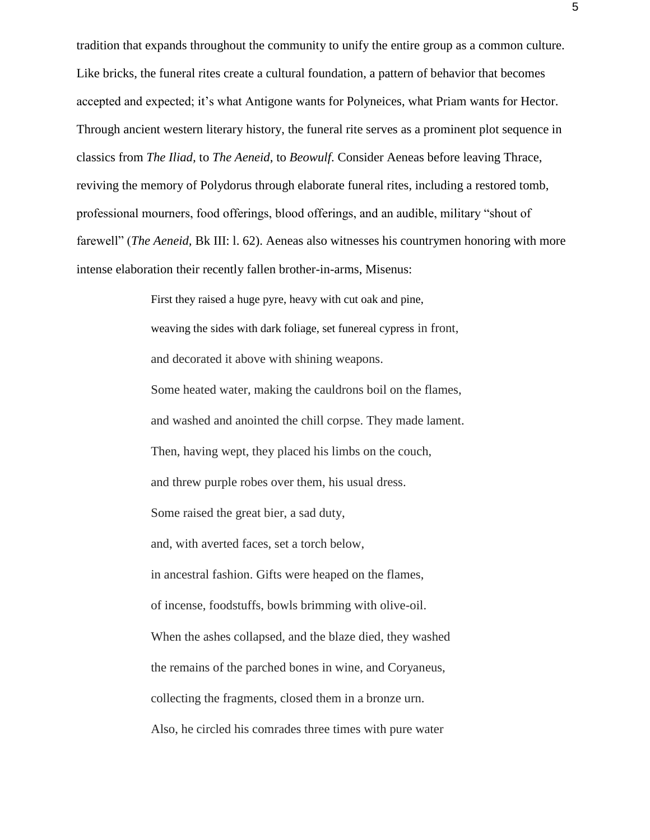tradition that expands throughout the community to unify the entire group as a common culture. Like bricks, the funeral rites create a cultural foundation, a pattern of behavior that becomes accepted and expected; it's what Antigone wants for Polyneices, what Priam wants for Hector. Through ancient western literary history, the funeral rite serves as a prominent plot sequence in classics from *The Iliad,* to *The Aeneid*, to *Beowulf*. Consider Aeneas before leaving Thrace, reviving the memory of Polydorus through elaborate funeral rites, including a restored tomb, professional mourners, food offerings, blood offerings, and an audible, military "shout of farewell" (*The Aeneid,* Bk III: l. 62). Aeneas also witnesses his countrymen honoring with more intense elaboration their recently fallen brother-in-arms, Misenus:

> First they raised a huge pyre, heavy with cut oak and pine, weaving the sides with dark foliage, set funereal cypress in front, and decorated it above with shining weapons. Some heated water, making the cauldrons boil on the flames, and washed and anointed the chill corpse. They made lament. Then, having wept, they placed his limbs on the couch, and threw purple robes over them, his usual dress. Some raised the great bier, a sad duty, and, with averted faces, set a torch below, in ancestral fashion. Gifts were heaped on the flames, of incense, foodstuffs, bowls brimming with olive-oil. When the ashes collapsed, and the blaze died, they washed the remains of the parched bones in wine, and Coryaneus, collecting the fragments, closed them in a bronze urn. Also, he circled his comrades three times with pure water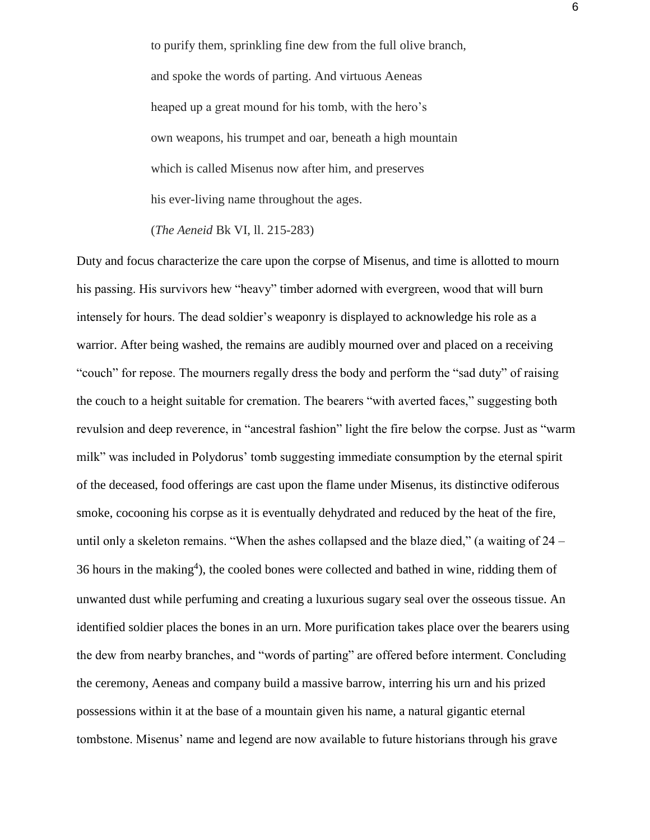to purify them, sprinkling fine dew from the full olive branch, and spoke the words of parting. And virtuous Aeneas heaped up a great mound for his tomb, with the hero's own weapons, his trumpet and oar, beneath a high mountain which is called Misenus now after him, and preserves his ever-living name throughout the ages.

(*The Aeneid* Bk VI, ll. 215-283)

Duty and focus characterize the care upon the corpse of Misenus, and time is allotted to mourn his passing. His survivors hew "heavy" timber adorned with evergreen, wood that will burn intensely for hours. The dead soldier's weaponry is displayed to acknowledge his role as a warrior. After being washed, the remains are audibly mourned over and placed on a receiving "couch" for repose. The mourners regally dress the body and perform the "sad duty" of raising the couch to a height suitable for cremation. The bearers "with averted faces," suggesting both revulsion and deep reverence, in "ancestral fashion" light the fire below the corpse. Just as "warm milk" was included in Polydorus' tomb suggesting immediate consumption by the eternal spirit of the deceased, food offerings are cast upon the flame under Misenus, its distinctive odiferous smoke, cocooning his corpse as it is eventually dehydrated and reduced by the heat of the fire, until only a skeleton remains. "When the ashes collapsed and the blaze died," (a waiting of 24 – 36 hours in the making<sup>4</sup>), the cooled bones were collected and bathed in wine, ridding them of unwanted dust while perfuming and creating a luxurious sugary seal over the osseous tissue. An identified soldier places the bones in an urn. More purification takes place over the bearers using the dew from nearby branches, and "words of parting" are offered before interment. Concluding the ceremony, Aeneas and company build a massive barrow, interring his urn and his prized possessions within it at the base of a mountain given his name, a natural gigantic eternal tombstone. Misenus' name and legend are now available to future historians through his grave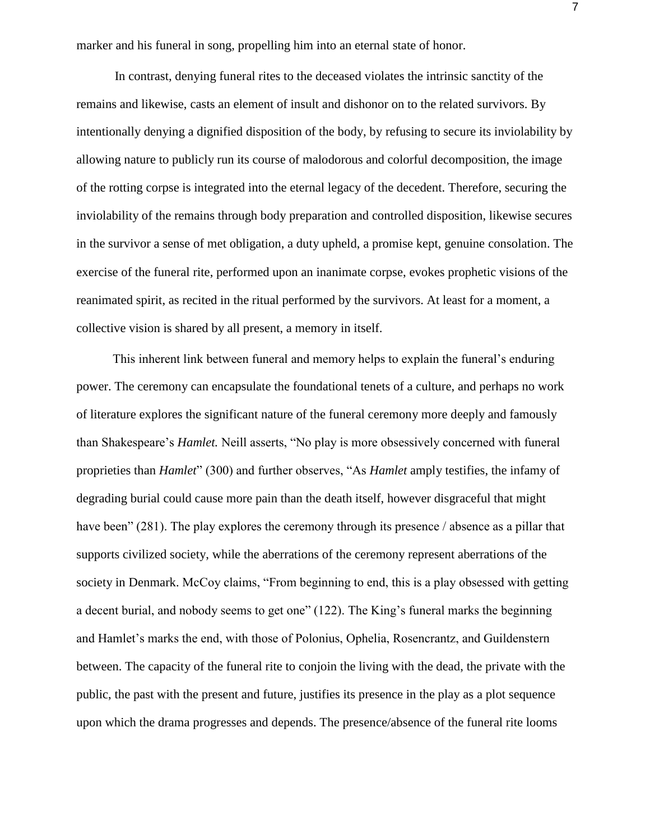marker and his funeral in song, propelling him into an eternal state of honor.

In contrast, denying funeral rites to the deceased violates the intrinsic sanctity of the remains and likewise, casts an element of insult and dishonor on to the related survivors. By intentionally denying a dignified disposition of the body, by refusing to secure its inviolability by allowing nature to publicly run its course of malodorous and colorful decomposition, the image of the rotting corpse is integrated into the eternal legacy of the decedent. Therefore, securing the inviolability of the remains through body preparation and controlled disposition, likewise secures in the survivor a sense of met obligation, a duty upheld, a promise kept, genuine consolation. The exercise of the funeral rite, performed upon an inanimate corpse, evokes prophetic visions of the reanimated spirit, as recited in the ritual performed by the survivors. At least for a moment, a collective vision is shared by all present, a memory in itself.

This inherent link between funeral and memory helps to explain the funeral's enduring power. The ceremony can encapsulate the foundational tenets of a culture, and perhaps no work of literature explores the significant nature of the funeral ceremony more deeply and famously than Shakespeare's *Hamlet.* Neill asserts, "No play is more obsessively concerned with funeral proprieties than *Hamlet*" (300) and further observes, "As *Hamlet* amply testifies, the infamy of degrading burial could cause more pain than the death itself, however disgraceful that might have been" (281). The play explores the ceremony through its presence / absence as a pillar that supports civilized society, while the aberrations of the ceremony represent aberrations of the society in Denmark. McCoy claims, "From beginning to end, this is a play obsessed with getting a decent burial, and nobody seems to get one" (122). The King's funeral marks the beginning and Hamlet's marks the end, with those of Polonius, Ophelia, Rosencrantz, and Guildenstern between. The capacity of the funeral rite to conjoin the living with the dead, the private with the public, the past with the present and future, justifies its presence in the play as a plot sequence upon which the drama progresses and depends. The presence/absence of the funeral rite looms

7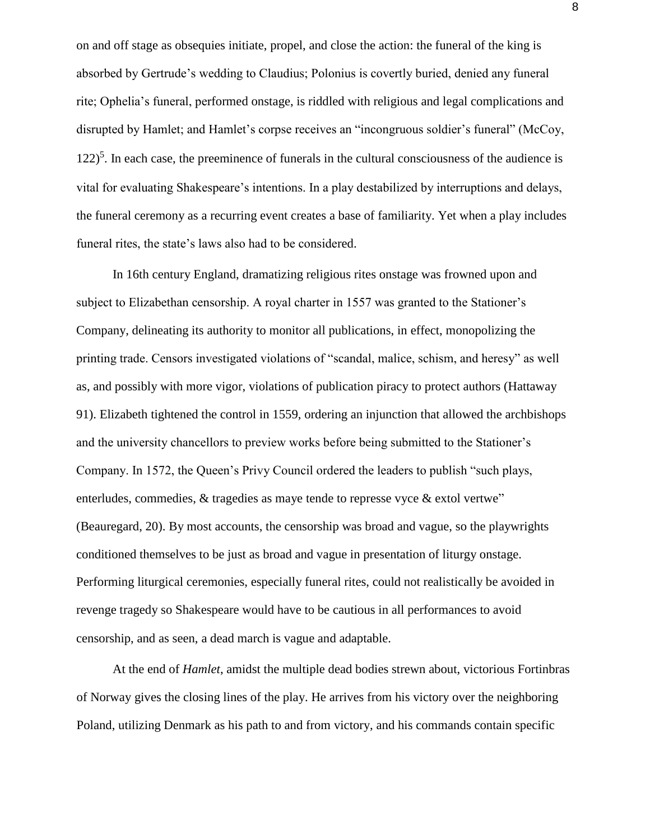on and off stage as obsequies initiate, propel, and close the action: the funeral of the king is absorbed by Gertrude's wedding to Claudius; Polonius is covertly buried, denied any funeral rite; Ophelia's funeral, performed onstage, is riddled with religious and legal complications and disrupted by Hamlet; and Hamlet's corpse receives an "incongruous soldier's funeral" (McCoy,  $122$ <sup>5</sup>. In each case, the preeminence of funerals in the cultural consciousness of the audience is vital for evaluating Shakespeare's intentions. In a play destabilized by interruptions and delays, the funeral ceremony as a recurring event creates a base of familiarity. Yet when a play includes funeral rites, the state's laws also had to be considered.

In 16th century England, dramatizing religious rites onstage was frowned upon and subject to Elizabethan censorship. A royal charter in 1557 was granted to the Stationer's Company, delineating its authority to monitor all publications, in effect, monopolizing the printing trade. Censors investigated violations of "scandal, malice, schism, and heresy" as well as, and possibly with more vigor, violations of publication piracy to protect authors (Hattaway 91). Elizabeth tightened the control in 1559, ordering an injunction that allowed the archbishops and the university chancellors to preview works before being submitted to the Stationer's Company. In 1572, the Queen's Privy Council ordered the leaders to publish "such plays, enterludes, commedies, & tragedies as maye tende to represse vyce & extol vertwe" (Beauregard, 20). By most accounts, the censorship was broad and vague, so the playwrights conditioned themselves to be just as broad and vague in presentation of liturgy onstage. Performing liturgical ceremonies, especially funeral rites, could not realistically be avoided in revenge tragedy so Shakespeare would have to be cautious in all performances to avoid censorship, and as seen, a dead march is vague and adaptable.

At the end of *Hamlet*, amidst the multiple dead bodies strewn about, victorious Fortinbras of Norway gives the closing lines of the play. He arrives from his victory over the neighboring Poland, utilizing Denmark as his path to and from victory, and his commands contain specific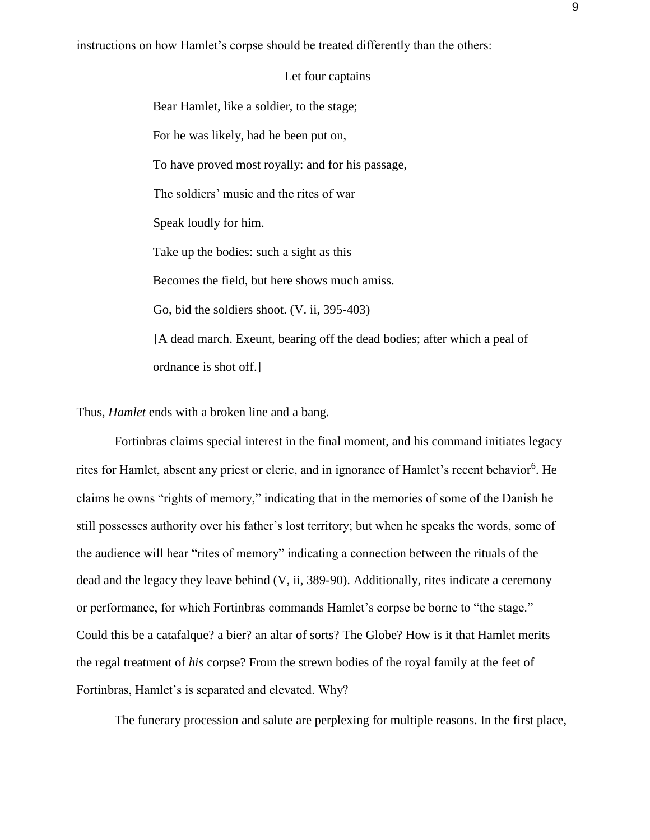instructions on how Hamlet's corpse should be treated differently than the others:

### Let four captains

Bear Hamlet, like a soldier, to the stage; For he was likely, had he been put on, To have proved most royally: and for his passage, The soldiers' music and the rites of war Speak loudly for him. Take up the bodies: such a sight as this Becomes the field, but here shows much amiss. Go, bid the soldiers shoot. (V. ii, 395-403) [A dead march. Exeunt, bearing off the dead bodies; after which a peal of ordnance is shot off.]

Thus, *Hamlet* ends with a broken line and a bang.

Fortinbras claims special interest in the final moment, and his command initiates legacy rites for Hamlet, absent any priest or cleric, and in ignorance of Hamlet's recent behavior<sup>6</sup>. He claims he owns "rights of memory," indicating that in the memories of some of the Danish he still possesses authority over his father's lost territory; but when he speaks the words, some of the audience will hear "rites of memory" indicating a connection between the rituals of the dead and the legacy they leave behind (V, ii, 389-90). Additionally, rites indicate a ceremony or performance, for which Fortinbras commands Hamlet's corpse be borne to "the stage." Could this be a catafalque? a bier? an altar of sorts? The Globe? How is it that Hamlet merits the regal treatment of *his* corpse? From the strewn bodies of the royal family at the feet of Fortinbras, Hamlet's is separated and elevated. Why?

The funerary procession and salute are perplexing for multiple reasons. In the first place,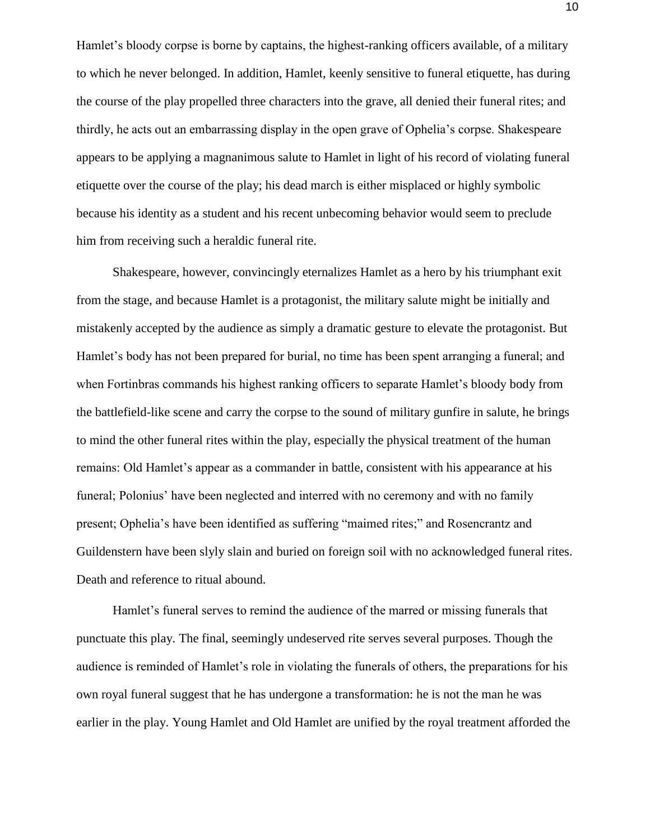Hamlet's bloody corpse is borne by captains, the highest-ranking officers available, of a military to which he never belonged. In addition, Hamlet, keenly sensitive to funeral etiquette, has during the course of the play propelled three characters into the grave, all denied their funeral rites; and thirdly, he acts out an embarrassing display in the open grave of Ophelia's corpse. Shakespeare appears to be applying a magnanimous salute to Hamlet in light of his record of violating funeral etiquette over the course of the play; his dead march is either misplaced or highly symbolic because his identity as a student and his recent unbecoming behavior would seem to preclude him from receiving such a heraldic funeral rite.

Shakespeare, however, convincingly eternalizes Hamlet as a hero by his triumphant exit from the stage, and because Hamlet is a protagonist, the military salute might be initially and mistakenly accepted by the audience as simply a dramatic gesture to elevate the protagonist. But Hamlet's body has not been prepared for burial, no time has been spent arranging a funeral; and when Fortinbras commands his highest ranking officers to separate Hamlet's bloody body from the battlefield-like scene and carry the corpse to the sound of military gunfire in salute, he brings to mind the other funeral rites within the play, especially the physical treatment of the human remains: Old Hamlet's appear as a commander in battle, consistent with his appearance at his funeral; Polonius' have been neglected and interred with no ceremony and with no family present; Ophelia's have been identified as suffering "maimed rites;" and Rosencrantz and Guildenstern have been slyly slain and buried on foreign soil with no acknowledged funeral rites. Death and reference to ritual abound.

Hamlet's funeral serves to remind the audience of the marred or missing funerals that punctuate this play. The final, seemingly undeserved rite serves several purposes. Though the audience is reminded of Hamlet's role in violating the funerals of others, the preparations for his own royal funeral suggest that he has undergone a transformation: he is not the man he was earlier in the play. Young Hamlet and Old Hamlet are unified by the royal treatment afforded the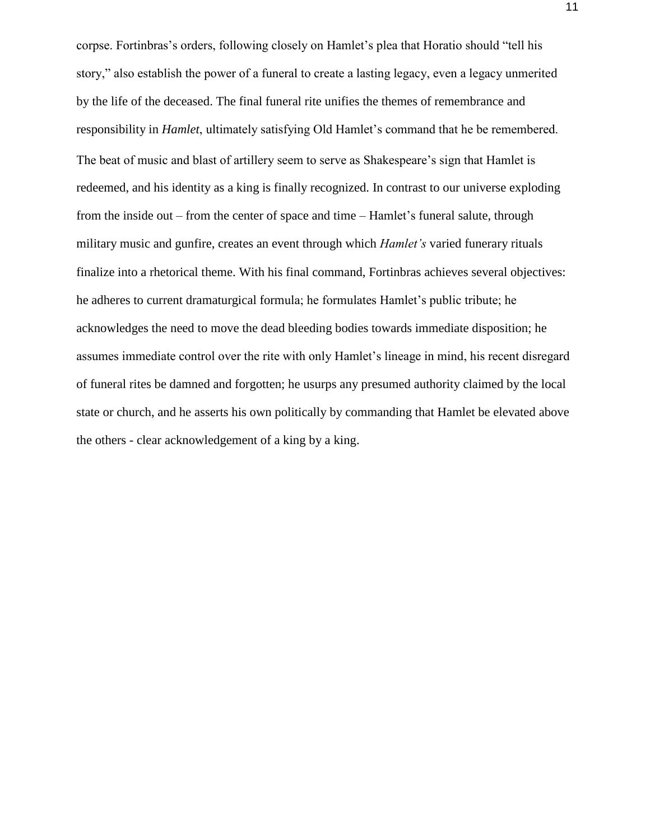corpse. Fortinbras's orders, following closely on Hamlet's plea that Horatio should "tell his story," also establish the power of a funeral to create a lasting legacy, even a legacy unmerited by the life of the deceased. The final funeral rite unifies the themes of remembrance and responsibility in *Hamlet*, ultimately satisfying Old Hamlet's command that he be remembered. The beat of music and blast of artillery seem to serve as Shakespeare's sign that Hamlet is redeemed, and his identity as a king is finally recognized. In contrast to our universe exploding from the inside out – from the center of space and time – Hamlet's funeral salute, through military music and gunfire, creates an event through which *Hamlet's* varied funerary rituals finalize into a rhetorical theme. With his final command, Fortinbras achieves several objectives: he adheres to current dramaturgical formula; he formulates Hamlet's public tribute; he acknowledges the need to move the dead bleeding bodies towards immediate disposition; he assumes immediate control over the rite with only Hamlet's lineage in mind, his recent disregard of funeral rites be damned and forgotten; he usurps any presumed authority claimed by the local state or church, and he asserts his own politically by commanding that Hamlet be elevated above the others - clear acknowledgement of a king by a king.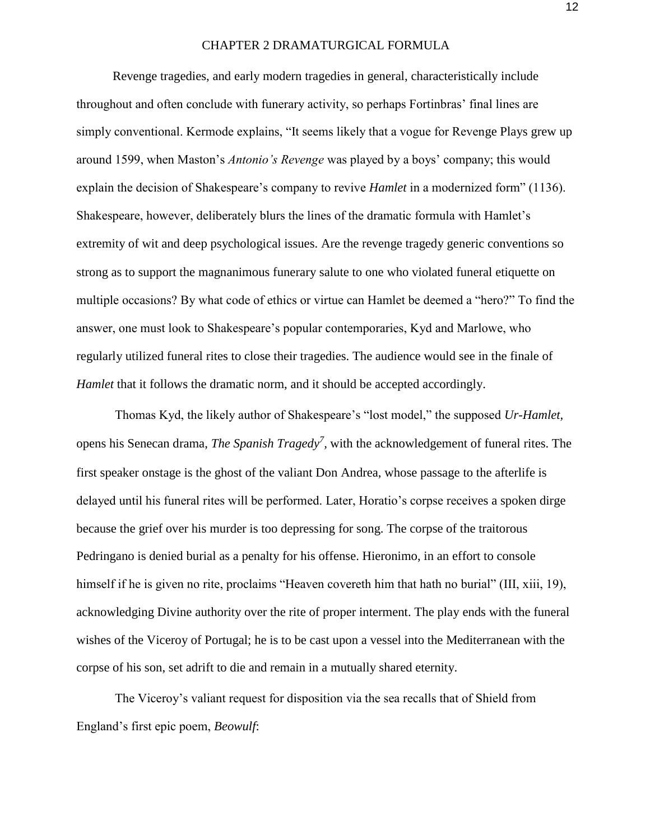### CHAPTER 2 DRAMATURGICAL FORMULA

Revenge tragedies, and early modern tragedies in general, characteristically include throughout and often conclude with funerary activity, so perhaps Fortinbras' final lines are simply conventional. Kermode explains, "It seems likely that a vogue for Revenge Plays grew up around 1599, when Maston's *Antonio's Revenge* was played by a boys' company; this would explain the decision of Shakespeare's company to revive *Hamlet* in a modernized form" (1136). Shakespeare, however, deliberately blurs the lines of the dramatic formula with Hamlet's extremity of wit and deep psychological issues. Are the revenge tragedy generic conventions so strong as to support the magnanimous funerary salute to one who violated funeral etiquette on multiple occasions? By what code of ethics or virtue can Hamlet be deemed a "hero?" To find the answer, one must look to Shakespeare's popular contemporaries, Kyd and Marlowe, who regularly utilized funeral rites to close their tragedies. The audience would see in the finale of *Hamlet* that it follows the dramatic norm, and it should be accepted accordingly.

Thomas Kyd, the likely author of Shakespeare's "lost model," the supposed *Ur-Hamlet,*  opens his Senecan drama, *The Spanish Tragedy<sup>7</sup> ,* with the acknowledgement of funeral rites. The first speaker onstage is the ghost of the valiant Don Andrea, whose passage to the afterlife is delayed until his funeral rites will be performed. Later, Horatio's corpse receives a spoken dirge because the grief over his murder is too depressing for song. The corpse of the traitorous Pedringano is denied burial as a penalty for his offense. Hieronimo, in an effort to console himself if he is given no rite, proclaims "Heaven covereth him that hath no burial" (III, xiii, 19), acknowledging Divine authority over the rite of proper interment. The play ends with the funeral wishes of the Viceroy of Portugal; he is to be cast upon a vessel into the Mediterranean with the corpse of his son, set adrift to die and remain in a mutually shared eternity.

The Viceroy's valiant request for disposition via the sea recalls that of Shield from England's first epic poem, *Beowulf*: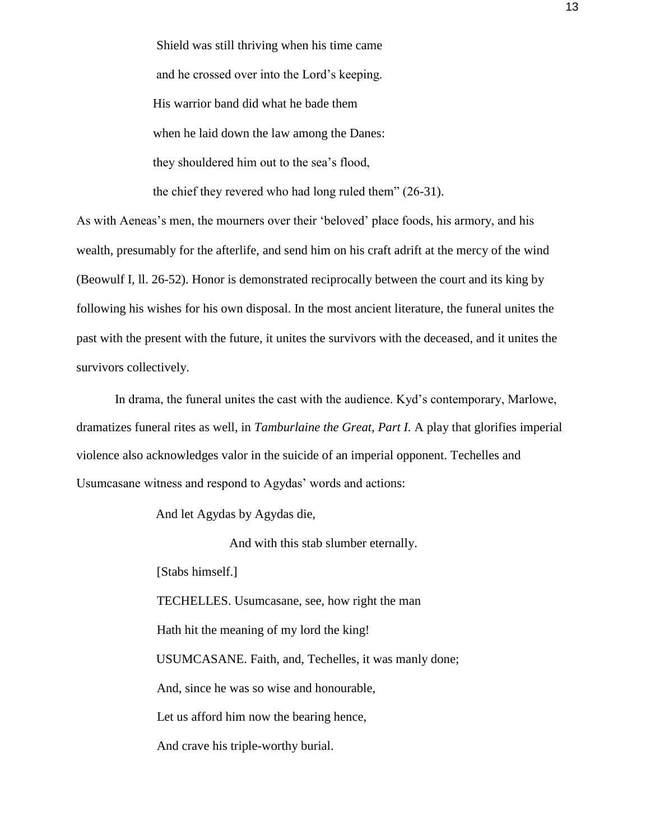Shield was still thriving when his time came and he crossed over into the Lord's keeping. His warrior band did what he bade them when he laid down the law among the Danes: they shouldered him out to the sea's flood, the chief they revered who had long ruled them" (26-31).

As with Aeneas's men, the mourners over their 'beloved' place foods, his armory, and his wealth, presumably for the afterlife, and send him on his craft adrift at the mercy of the wind (Beowulf I, ll. 26-52). Honor is demonstrated reciprocally between the court and its king by following his wishes for his own disposal. In the most ancient literature, the funeral unites the past with the present with the future, it unites the survivors with the deceased, and it unites the survivors collectively.

In drama, the funeral unites the cast with the audience. Kyd's contemporary, Marlowe, dramatizes funeral rites as well, in *Tamburlaine the Great, Part I.* A play that glorifies imperial violence also acknowledges valor in the suicide of an imperial opponent. Techelles and Usumcasane witness and respond to Agydas' words and actions:

And let Agydas by Agydas die,

And with this stab slumber eternally.

[Stabs himself.]

TECHELLES. Usumcasane, see, how right the man

Hath hit the meaning of my lord the king!

USUMCASANE. Faith, and, Techelles, it was manly done;

And, since he was so wise and honourable,

Let us afford him now the bearing hence,

And crave his triple-worthy burial.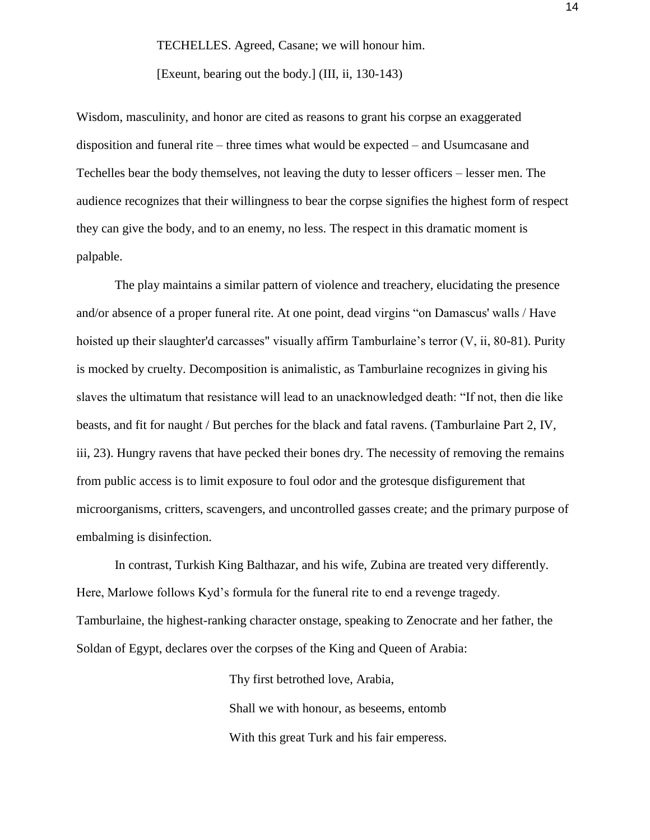#### TECHELLES. Agreed, Casane; we will honour him.

[Exeunt, bearing out the body.] (III, ii, 130-143)

Wisdom, masculinity, and honor are cited as reasons to grant his corpse an exaggerated disposition and funeral rite – three times what would be expected – and Usumcasane and Techelles bear the body themselves, not leaving the duty to lesser officers – lesser men. The audience recognizes that their willingness to bear the corpse signifies the highest form of respect they can give the body, and to an enemy, no less. The respect in this dramatic moment is palpable.

The play maintains a similar pattern of violence and treachery, elucidating the presence and/or absence of a proper funeral rite. At one point, dead virgins "on Damascus' walls / Have hoisted up their slaughter'd carcasses" visually affirm Tamburlaine's terror (V, ii, 80-81). Purity is mocked by cruelty. Decomposition is animalistic, as Tamburlaine recognizes in giving his slaves the ultimatum that resistance will lead to an unacknowledged death: "If not, then die like beasts, and fit for naught / But perches for the black and fatal ravens. (Tamburlaine Part 2, IV, iii, 23). Hungry ravens that have pecked their bones dry. The necessity of removing the remains from public access is to limit exposure to foul odor and the grotesque disfigurement that microorganisms, critters, scavengers, and uncontrolled gasses create; and the primary purpose of embalming is disinfection.

In contrast, Turkish King Balthazar, and his wife, Zubina are treated very differently. Here, Marlowe follows Kyd's formula for the funeral rite to end a revenge tragedy. Tamburlaine, the highest-ranking character onstage, speaking to Zenocrate and her father, the Soldan of Egypt, declares over the corpses of the King and Queen of Arabia:

> Thy first betrothed love, Arabia, Shall we with honour, as beseems, entomb With this great Turk and his fair emperess.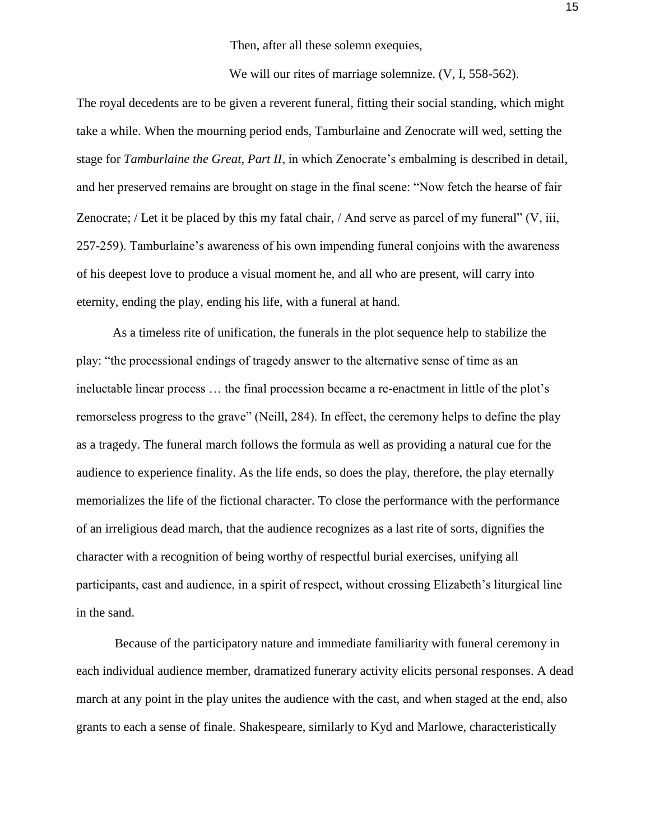Then, after all these solemn exequies,

We will our rites of marriage solemnize. (V, I, 558-562).

The royal decedents are to be given a reverent funeral, fitting their social standing, which might take a while. When the mourning period ends, Tamburlaine and Zenocrate will wed, setting the stage for *Tamburlaine the Great, Part II*, in which Zenocrate's embalming is described in detail, and her preserved remains are brought on stage in the final scene: "Now fetch the hearse of fair Zenocrate; / Let it be placed by this my fatal chair, / And serve as parcel of my funeral" (V, iii, 257-259). Tamburlaine's awareness of his own impending funeral conjoins with the awareness of his deepest love to produce a visual moment he, and all who are present, will carry into eternity, ending the play, ending his life, with a funeral at hand.

As a timeless rite of unification, the funerals in the plot sequence help to stabilize the play: "the processional endings of tragedy answer to the alternative sense of time as an ineluctable linear process … the final procession became a re-enactment in little of the plot's remorseless progress to the grave" (Neill, 284). In effect, the ceremony helps to define the play as a tragedy. The funeral march follows the formula as well as providing a natural cue for the audience to experience finality. As the life ends, so does the play, therefore, the play eternally memorializes the life of the fictional character. To close the performance with the performance of an irreligious dead march, that the audience recognizes as a last rite of sorts, dignifies the character with a recognition of being worthy of respectful burial exercises, unifying all participants, cast and audience, in a spirit of respect, without crossing Elizabeth's liturgical line in the sand.

Because of the participatory nature and immediate familiarity with funeral ceremony in each individual audience member, dramatized funerary activity elicits personal responses. A dead march at any point in the play unites the audience with the cast, and when staged at the end, also grants to each a sense of finale. Shakespeare, similarly to Kyd and Marlowe, characteristically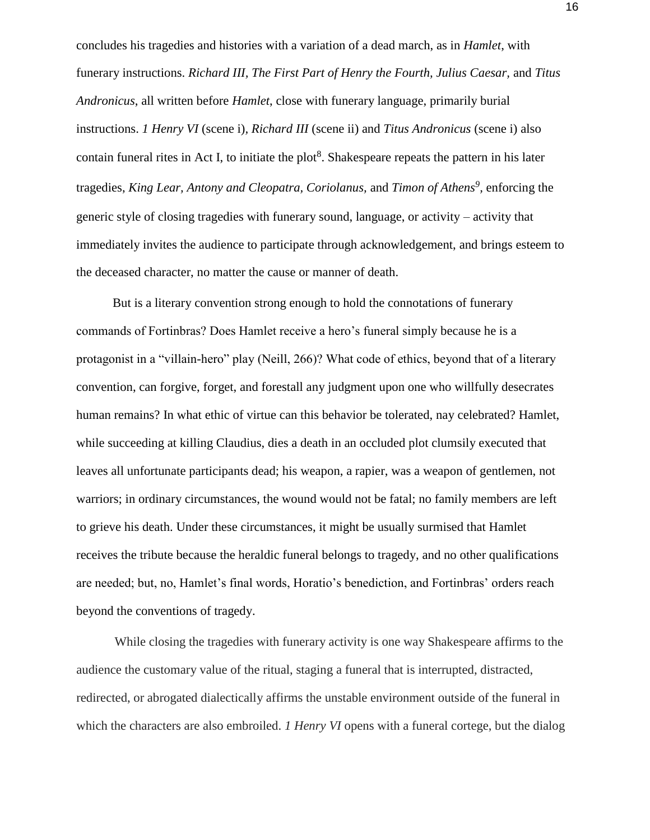concludes his tragedies and histories with a variation of a dead march, as in *Hamlet*, with funerary instructions. *Richard III, The First Part of Henry the Fourth, Julius Caesar,* and *Titus Andronicus*, all written before *Hamlet*, close with funerary language, primarily burial instructions. *1 Henry VI* (scene i)*, Richard III* (scene ii) and *Titus Andronicus* (scene i) also contain funeral rites in Act I, to initiate the plot<sup>8</sup>. Shakespeare repeats the pattern in his later tragedies, *King Lear, Antony and Cleopatra, Coriolanus, and Timon of Athens<sup>9</sup>, enforcing the* generic style of closing tragedies with funerary sound, language, or activity – activity that immediately invites the audience to participate through acknowledgement, and brings esteem to the deceased character, no matter the cause or manner of death.

But is a literary convention strong enough to hold the connotations of funerary commands of Fortinbras? Does Hamlet receive a hero's funeral simply because he is a protagonist in a "villain-hero" play (Neill, 266)? What code of ethics, beyond that of a literary convention, can forgive, forget, and forestall any judgment upon one who willfully desecrates human remains? In what ethic of virtue can this behavior be tolerated, nay celebrated? Hamlet, while succeeding at killing Claudius, dies a death in an occluded plot clumsily executed that leaves all unfortunate participants dead; his weapon, a rapier, was a weapon of gentlemen, not warriors; in ordinary circumstances, the wound would not be fatal; no family members are left to grieve his death. Under these circumstances, it might be usually surmised that Hamlet receives the tribute because the heraldic funeral belongs to tragedy, and no other qualifications are needed; but, no, Hamlet's final words, Horatio's benediction, and Fortinbras' orders reach beyond the conventions of tragedy.

While closing the tragedies with funerary activity is one way Shakespeare affirms to the audience the customary value of the ritual, staging a funeral that is interrupted, distracted, redirected, or abrogated dialectically affirms the unstable environment outside of the funeral in which the characters are also embroiled. *1 Henry VI* opens with a funeral cortege, but the dialog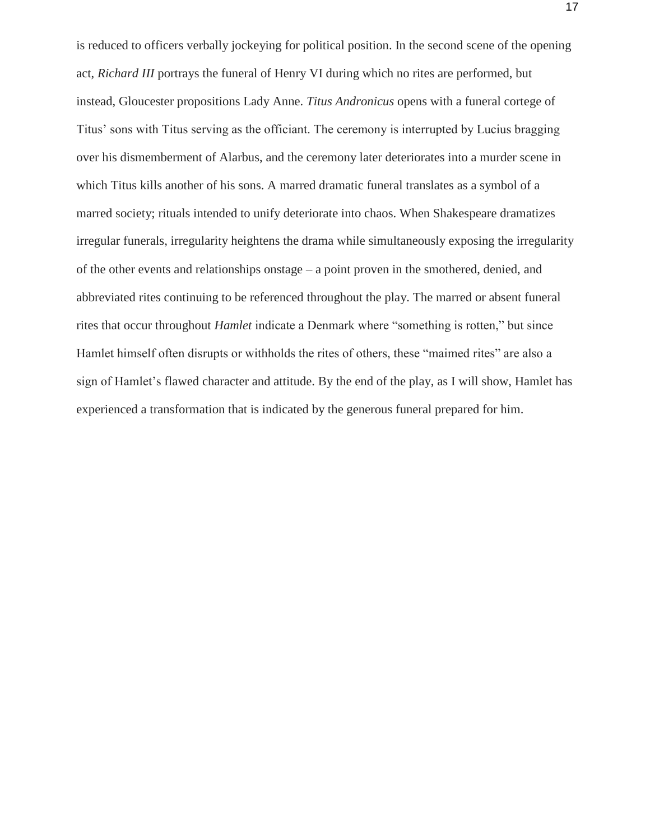is reduced to officers verbally jockeying for political position. In the second scene of the opening act, *Richard III* portrays the funeral of Henry VI during which no rites are performed, but instead, Gloucester propositions Lady Anne. *Titus Andronicus* opens with a funeral cortege of Titus' sons with Titus serving as the officiant. The ceremony is interrupted by Lucius bragging over his dismemberment of Alarbus, and the ceremony later deteriorates into a murder scene in which Titus kills another of his sons. A marred dramatic funeral translates as a symbol of a marred society; rituals intended to unify deteriorate into chaos. When Shakespeare dramatizes irregular funerals, irregularity heightens the drama while simultaneously exposing the irregularity of the other events and relationships onstage – a point proven in the smothered, denied, and abbreviated rites continuing to be referenced throughout the play. The marred or absent funeral rites that occur throughout *Hamlet* indicate a Denmark where "something is rotten," but since Hamlet himself often disrupts or withholds the rites of others, these "maimed rites" are also a sign of Hamlet's flawed character and attitude. By the end of the play, as I will show, Hamlet has experienced a transformation that is indicated by the generous funeral prepared for him.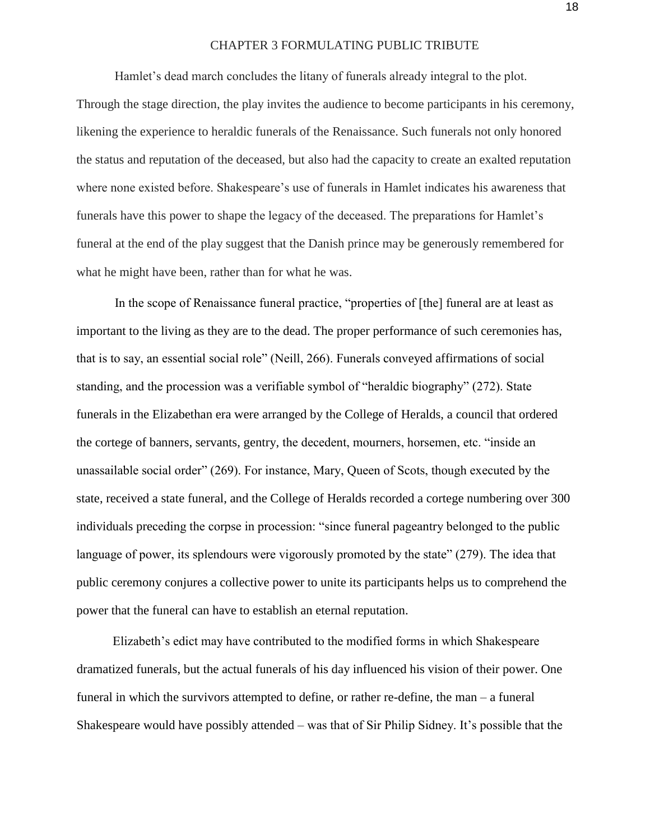#### CHAPTER 3 FORMULATING PUBLIC TRIBUTE

Hamlet's dead march concludes the litany of funerals already integral to the plot. Through the stage direction, the play invites the audience to become participants in his ceremony, likening the experience to heraldic funerals of the Renaissance. Such funerals not only honored the status and reputation of the deceased, but also had the capacity to create an exalted reputation where none existed before. Shakespeare's use of funerals in Hamlet indicates his awareness that funerals have this power to shape the legacy of the deceased. The preparations for Hamlet's funeral at the end of the play suggest that the Danish prince may be generously remembered for what he might have been, rather than for what he was.

In the scope of Renaissance funeral practice, "properties of [the] funeral are at least as important to the living as they are to the dead. The proper performance of such ceremonies has, that is to say, an essential social role" (Neill, 266). Funerals conveyed affirmations of social standing, and the procession was a verifiable symbol of "heraldic biography" (272). State funerals in the Elizabethan era were arranged by the College of Heralds, a council that ordered the cortege of banners, servants, gentry, the decedent, mourners, horsemen, etc. "inside an unassailable social order" (269). For instance, Mary, Queen of Scots, though executed by the state, received a state funeral, and the College of Heralds recorded a cortege numbering over 300 individuals preceding the corpse in procession: "since funeral pageantry belonged to the public language of power, its splendours were vigorously promoted by the state" (279). The idea that public ceremony conjures a collective power to unite its participants helps us to comprehend the power that the funeral can have to establish an eternal reputation.

Elizabeth's edict may have contributed to the modified forms in which Shakespeare dramatized funerals, but the actual funerals of his day influenced his vision of their power. One funeral in which the survivors attempted to define, or rather re-define, the man – a funeral Shakespeare would have possibly attended – was that of Sir Philip Sidney. It's possible that the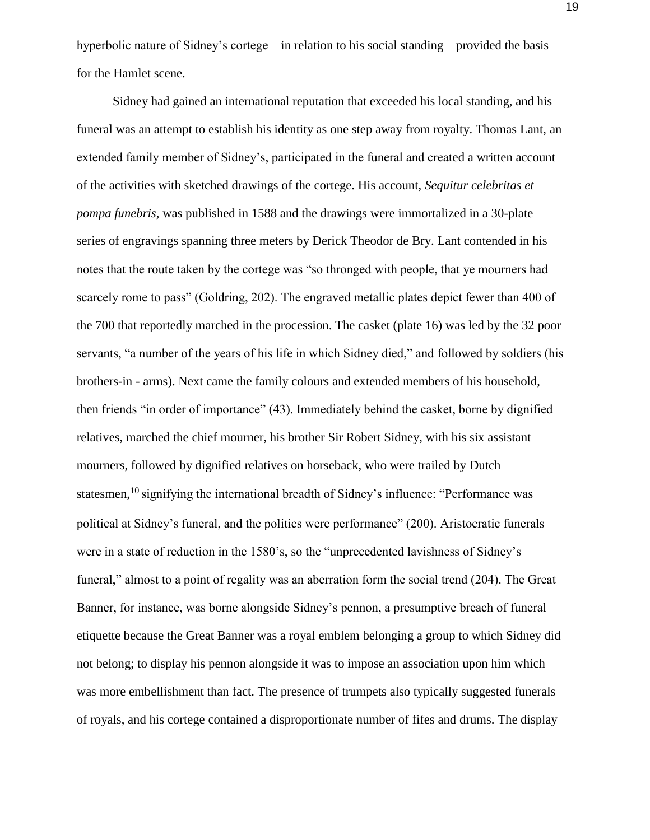hyperbolic nature of Sidney's cortege – in relation to his social standing – provided the basis for the Hamlet scene.

Sidney had gained an international reputation that exceeded his local standing, and his funeral was an attempt to establish his identity as one step away from royalty. Thomas Lant, an extended family member of Sidney's, participated in the funeral and created a written account of the activities with sketched drawings of the cortege. His account, *Sequitur celebritas et pompa funebris*, was published in 1588 and the drawings were immortalized in a 30-plate series of engravings spanning three meters by Derick Theodor de Bry. Lant contended in his notes that the route taken by the cortege was "so thronged with people, that ye mourners had scarcely rome to pass" (Goldring, 202). The engraved metallic plates depict fewer than 400 of the 700 that reportedly marched in the procession. The casket (plate 16) was led by the 32 poor servants, "a number of the years of his life in which Sidney died," and followed by soldiers (his brothers-in - arms). Next came the family colours and extended members of his household, then friends "in order of importance" (43). Immediately behind the casket, borne by dignified relatives, marched the chief mourner, his brother Sir Robert Sidney, with his six assistant mourners, followed by dignified relatives on horseback, who were trailed by Dutch statesmen,<sup>10</sup> signifying the international breadth of Sidney's influence: "Performance was political at Sidney's funeral, and the politics were performance" (200). Aristocratic funerals were in a state of reduction in the 1580's, so the "unprecedented lavishness of Sidney's funeral," almost to a point of regality was an aberration form the social trend (204). The Great Banner, for instance, was borne alongside Sidney's pennon, a presumptive breach of funeral etiquette because the Great Banner was a royal emblem belonging a group to which Sidney did not belong; to display his pennon alongside it was to impose an association upon him which was more embellishment than fact. The presence of trumpets also typically suggested funerals of royals, and his cortege contained a disproportionate number of fifes and drums. The display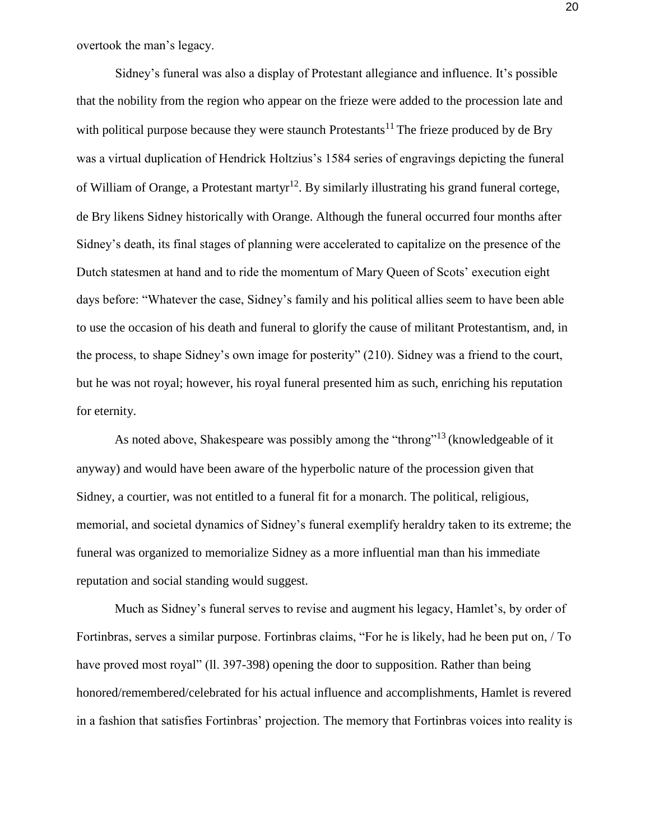overtook the man's legacy.

Sidney's funeral was also a display of Protestant allegiance and influence. It's possible that the nobility from the region who appear on the frieze were added to the procession late and with political purpose because they were staunch Protestants<sup>11</sup> The frieze produced by de Bry was a virtual duplication of Hendrick Holtzius's 1584 series of engravings depicting the funeral of William of Orange, a Protestant martyr<sup>12</sup>. By similarly illustrating his grand funeral cortege, de Bry likens Sidney historically with Orange. Although the funeral occurred four months after Sidney's death, its final stages of planning were accelerated to capitalize on the presence of the Dutch statesmen at hand and to ride the momentum of Mary Queen of Scots' execution eight days before: "Whatever the case, Sidney's family and his political allies seem to have been able to use the occasion of his death and funeral to glorify the cause of militant Protestantism, and, in the process, to shape Sidney's own image for posterity" (210). Sidney was a friend to the court, but he was not royal; however, his royal funeral presented him as such, enriching his reputation for eternity.

As noted above, Shakespeare was possibly among the "throng"13 (knowledgeable of it anyway) and would have been aware of the hyperbolic nature of the procession given that Sidney, a courtier, was not entitled to a funeral fit for a monarch. The political, religious, memorial, and societal dynamics of Sidney's funeral exemplify heraldry taken to its extreme; the funeral was organized to memorialize Sidney as a more influential man than his immediate reputation and social standing would suggest.

Much as Sidney's funeral serves to revise and augment his legacy, Hamlet's, by order of Fortinbras, serves a similar purpose. Fortinbras claims, "For he is likely, had he been put on, / To have proved most royal" (ll. 397-398) opening the door to supposition. Rather than being honored/remembered/celebrated for his actual influence and accomplishments, Hamlet is revered in a fashion that satisfies Fortinbras' projection. The memory that Fortinbras voices into reality is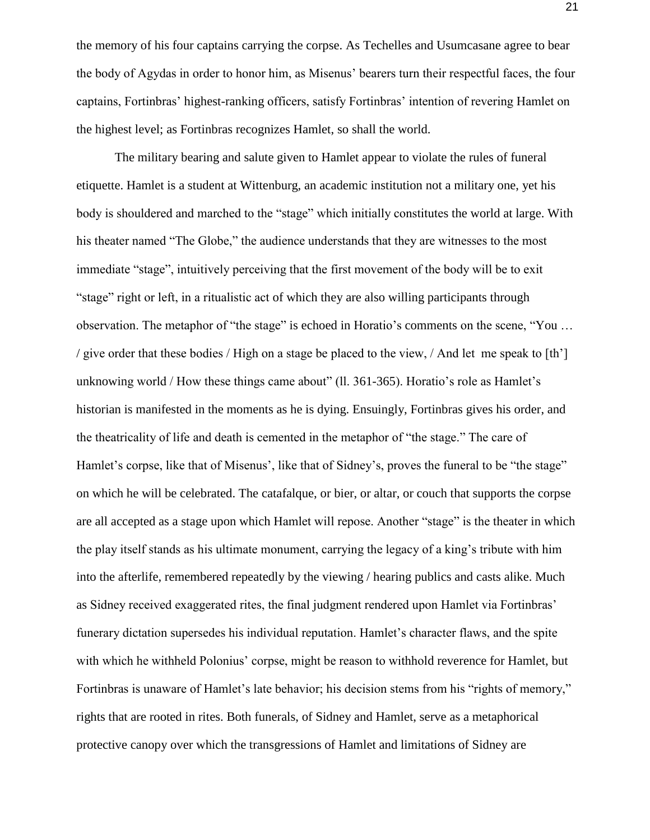the memory of his four captains carrying the corpse. As Techelles and Usumcasane agree to bear the body of Agydas in order to honor him, as Misenus' bearers turn their respectful faces, the four captains, Fortinbras' highest-ranking officers, satisfy Fortinbras' intention of revering Hamlet on the highest level; as Fortinbras recognizes Hamlet, so shall the world.

The military bearing and salute given to Hamlet appear to violate the rules of funeral etiquette. Hamlet is a student at Wittenburg, an academic institution not a military one, yet his body is shouldered and marched to the "stage" which initially constitutes the world at large. With his theater named "The Globe," the audience understands that they are witnesses to the most immediate "stage", intuitively perceiving that the first movement of the body will be to exit "stage" right or left, in a ritualistic act of which they are also willing participants through observation. The metaphor of "the stage" is echoed in Horatio's comments on the scene, "You … / give order that these bodies / High on a stage be placed to the view, / And let me speak to [th'] unknowing world / How these things came about" (ll. 361-365). Horatio's role as Hamlet's historian is manifested in the moments as he is dying. Ensuingly, Fortinbras gives his order, and the theatricality of life and death is cemented in the metaphor of "the stage." The care of Hamlet's corpse, like that of Misenus', like that of Sidney's, proves the funeral to be "the stage" on which he will be celebrated. The catafalque, or bier, or altar, or couch that supports the corpse are all accepted as a stage upon which Hamlet will repose. Another "stage" is the theater in which the play itself stands as his ultimate monument, carrying the legacy of a king's tribute with him into the afterlife, remembered repeatedly by the viewing / hearing publics and casts alike. Much as Sidney received exaggerated rites, the final judgment rendered upon Hamlet via Fortinbras' funerary dictation supersedes his individual reputation. Hamlet's character flaws, and the spite with which he withheld Polonius' corpse, might be reason to withhold reverence for Hamlet, but Fortinbras is unaware of Hamlet's late behavior; his decision stems from his "rights of memory," rights that are rooted in rites. Both funerals, of Sidney and Hamlet, serve as a metaphorical protective canopy over which the transgressions of Hamlet and limitations of Sidney are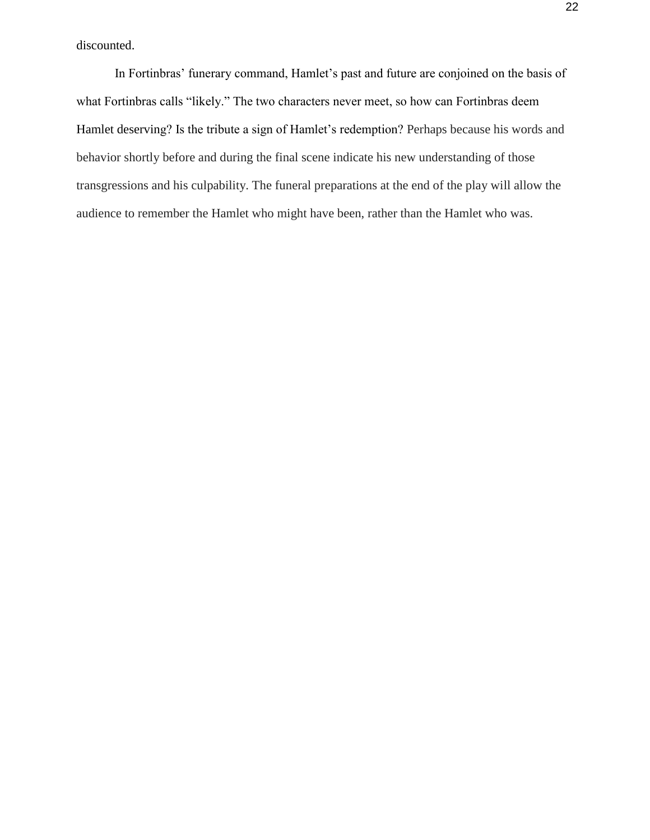discounted.

In Fortinbras' funerary command, Hamlet's past and future are conjoined on the basis of what Fortinbras calls "likely." The two characters never meet, so how can Fortinbras deem Hamlet deserving? Is the tribute a sign of Hamlet's redemption? Perhaps because his words and behavior shortly before and during the final scene indicate his new understanding of those transgressions and his culpability. The funeral preparations at the end of the play will allow the audience to remember the Hamlet who might have been, rather than the Hamlet who was.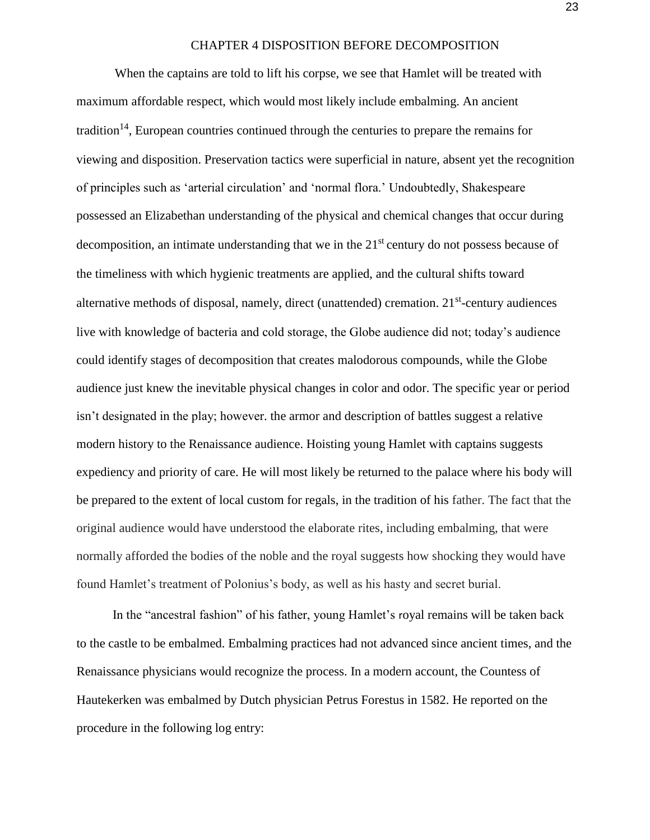#### CHAPTER 4 DISPOSITION BEFORE DECOMPOSITION

When the captains are told to lift his corpse, we see that Hamlet will be treated with maximum affordable respect, which would most likely include embalming. An ancient tradition<sup>14</sup>, European countries continued through the centuries to prepare the remains for viewing and disposition. Preservation tactics were superficial in nature, absent yet the recognition of principles such as 'arterial circulation' and 'normal flora.' Undoubtedly, Shakespeare possessed an Elizabethan understanding of the physical and chemical changes that occur during decomposition, an intimate understanding that we in the 21<sup>st</sup> century do not possess because of the timeliness with which hygienic treatments are applied, and the cultural shifts toward alternative methods of disposal, namely, direct (unattended) cremation. 21<sup>st</sup>-century audiences live with knowledge of bacteria and cold storage, the Globe audience did not; today's audience could identify stages of decomposition that creates malodorous compounds, while the Globe audience just knew the inevitable physical changes in color and odor. The specific year or period isn't designated in the play; however. the armor and description of battles suggest a relative modern history to the Renaissance audience. Hoisting young Hamlet with captains suggests expediency and priority of care. He will most likely be returned to the palace where his body will be prepared to the extent of local custom for regals, in the tradition of his father. The fact that the original audience would have understood the elaborate rites, including embalming, that were normally afforded the bodies of the noble and the royal suggests how shocking they would have found Hamlet's treatment of Polonius's body, as well as his hasty and secret burial.

In the "ancestral fashion" of his father, young Hamlet's royal remains will be taken back to the castle to be embalmed. Embalming practices had not advanced since ancient times, and the Renaissance physicians would recognize the process. In a modern account, the Countess of Hautekerken was embalmed by Dutch physician Petrus Forestus in 1582. He reported on the procedure in the following log entry: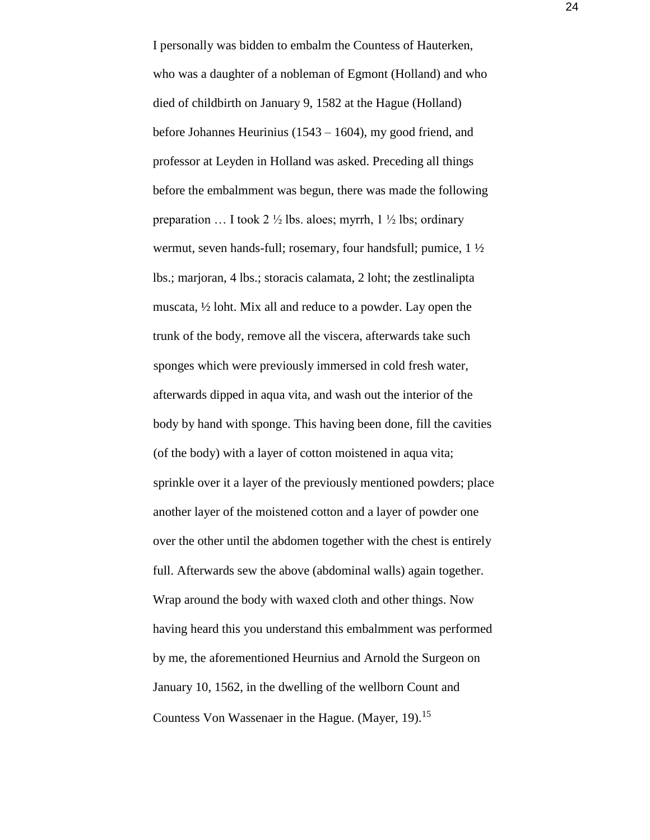I personally was bidden to embalm the Countess of Hauterken, who was a daughter of a nobleman of Egmont (Holland) and who died of childbirth on January 9, 1582 at the Hague (Holland) before Johannes Heurinius (1543 – 1604), my good friend, and professor at Leyden in Holland was asked. Preceding all things before the embalmment was begun, there was made the following preparation ... I took 2  $\frac{1}{2}$  lbs. aloes; myrrh, 1  $\frac{1}{2}$  lbs; ordinary wermut, seven hands-full; rosemary, four handsfull; pumice, 1 ½ lbs.; marjoran, 4 lbs.; storacis calamata, 2 loht; the zestlinalipta muscata, ½ loht. Mix all and reduce to a powder. Lay open the trunk of the body, remove all the viscera, afterwards take such sponges which were previously immersed in cold fresh water, afterwards dipped in aqua vita, and wash out the interior of the body by hand with sponge. This having been done, fill the cavities (of the body) with a layer of cotton moistened in aqua vita; sprinkle over it a layer of the previously mentioned powders; place another layer of the moistened cotton and a layer of powder one over the other until the abdomen together with the chest is entirely full. Afterwards sew the above (abdominal walls) again together. Wrap around the body with waxed cloth and other things. Now having heard this you understand this embalmment was performed by me, the aforementioned Heurnius and Arnold the Surgeon on January 10, 1562, in the dwelling of the wellborn Count and Countess Von Wassenaer in the Hague. (Mayer, 19).<sup>15</sup>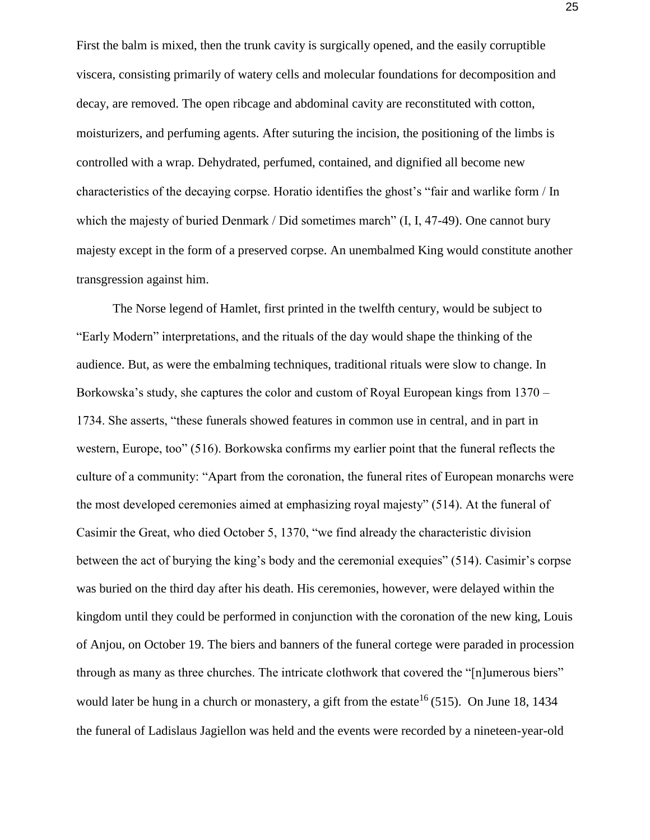First the balm is mixed, then the trunk cavity is surgically opened, and the easily corruptible viscera, consisting primarily of watery cells and molecular foundations for decomposition and decay, are removed. The open ribcage and abdominal cavity are reconstituted with cotton, moisturizers, and perfuming agents. After suturing the incision, the positioning of the limbs is controlled with a wrap. Dehydrated, perfumed, contained, and dignified all become new characteristics of the decaying corpse. Horatio identifies the ghost's "fair and warlike form / In which the majesty of buried Denmark / Did sometimes march" (I, I, 47-49). One cannot bury majesty except in the form of a preserved corpse. An unembalmed King would constitute another transgression against him.

The Norse legend of Hamlet, first printed in the twelfth century, would be subject to "Early Modern" interpretations, and the rituals of the day would shape the thinking of the audience. But, as were the embalming techniques, traditional rituals were slow to change. In Borkowska's study, she captures the color and custom of Royal European kings from 1370 – 1734. She asserts, "these funerals showed features in common use in central, and in part in western, Europe, too" (516). Borkowska confirms my earlier point that the funeral reflects the culture of a community: "Apart from the coronation, the funeral rites of European monarchs were the most developed ceremonies aimed at emphasizing royal majesty" (514). At the funeral of Casimir the Great, who died October 5, 1370, "we find already the characteristic division between the act of burying the king's body and the ceremonial exequies" (514). Casimir's corpse was buried on the third day after his death. His ceremonies, however, were delayed within the kingdom until they could be performed in conjunction with the coronation of the new king, Louis of Anjou, on October 19. The biers and banners of the funeral cortege were paraded in procession through as many as three churches. The intricate clothwork that covered the "[n]umerous biers" would later be hung in a church or monastery, a gift from the estate<sup>16</sup> (515). On June 18, 1434 the funeral of Ladislaus Jagiellon was held and the events were recorded by a nineteen-year-old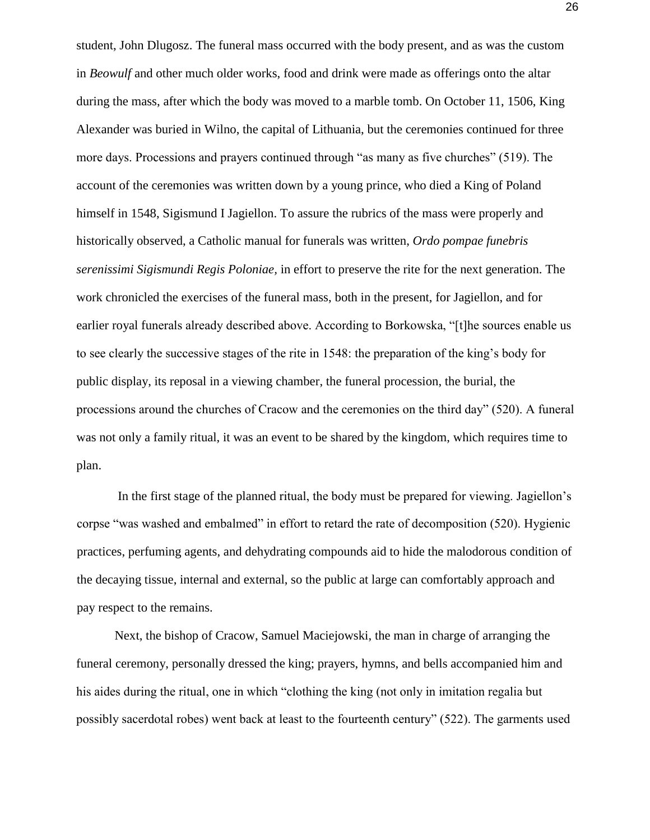student, John Dlugosz. The funeral mass occurred with the body present, and as was the custom in *Beowulf* and other much older works, food and drink were made as offerings onto the altar during the mass, after which the body was moved to a marble tomb. On October 11, 1506, King Alexander was buried in Wilno, the capital of Lithuania, but the ceremonies continued for three more days. Processions and prayers continued through "as many as five churches" (519). The account of the ceremonies was written down by a young prince, who died a King of Poland himself in 1548, Sigismund I Jagiellon. To assure the rubrics of the mass were properly and historically observed, a Catholic manual for funerals was written, *Ordo pompae funebris serenissimi Sigismundi Regis Poloniae,* in effort to preserve the rite for the next generation. The work chronicled the exercises of the funeral mass, both in the present, for Jagiellon, and for earlier royal funerals already described above. According to Borkowska, "[t]he sources enable us to see clearly the successive stages of the rite in 1548: the preparation of the king's body for public display, its reposal in a viewing chamber, the funeral procession, the burial, the processions around the churches of Cracow and the ceremonies on the third day" (520). A funeral was not only a family ritual, it was an event to be shared by the kingdom, which requires time to plan.

In the first stage of the planned ritual, the body must be prepared for viewing. Jagiellon's corpse "was washed and embalmed" in effort to retard the rate of decomposition (520). Hygienic practices, perfuming agents, and dehydrating compounds aid to hide the malodorous condition of the decaying tissue, internal and external, so the public at large can comfortably approach and pay respect to the remains.

Next, the bishop of Cracow, Samuel Maciejowski, the man in charge of arranging the funeral ceremony, personally dressed the king; prayers, hymns, and bells accompanied him and his aides during the ritual, one in which "clothing the king (not only in imitation regalia but possibly sacerdotal robes) went back at least to the fourteenth century" (522). The garments used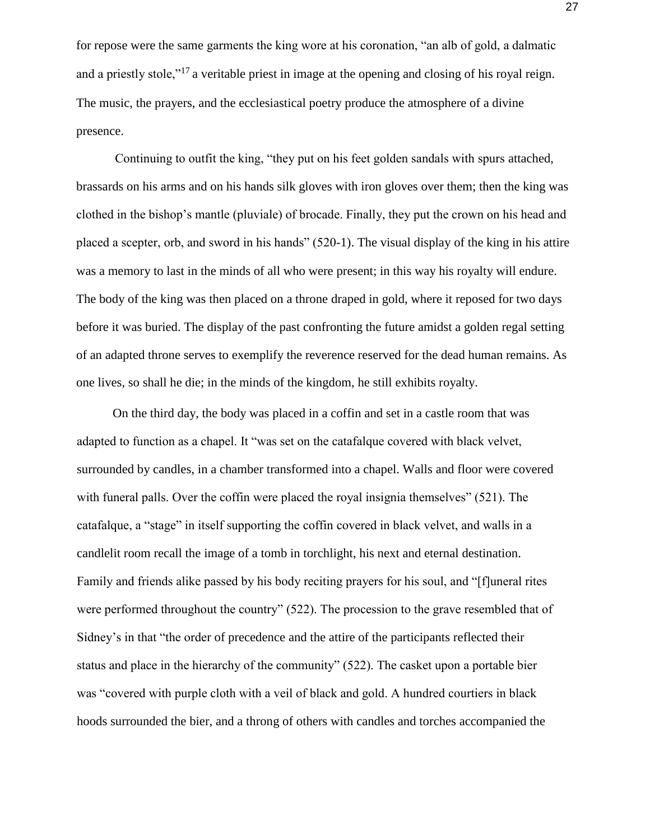for repose were the same garments the king wore at his coronation, "an alb of gold, a dalmatic and a priestly stole,"<sup>17</sup> a veritable priest in image at the opening and closing of his royal reign. The music, the prayers, and the ecclesiastical poetry produce the atmosphere of a divine presence.

Continuing to outfit the king, "they put on his feet golden sandals with spurs attached, brassards on his arms and on his hands silk gloves with iron gloves over them; then the king was clothed in the bishop's mantle (pluviale) of brocade. Finally, they put the crown on his head and placed a scepter, orb, and sword in his hands" (520-1). The visual display of the king in his attire was a memory to last in the minds of all who were present; in this way his royalty will endure. The body of the king was then placed on a throne draped in gold, where it reposed for two days before it was buried. The display of the past confronting the future amidst a golden regal setting of an adapted throne serves to exemplify the reverence reserved for the dead human remains. As one lives, so shall he die; in the minds of the kingdom, he still exhibits royalty.

On the third day, the body was placed in a coffin and set in a castle room that was adapted to function as a chapel. It "was set on the catafalque covered with black velvet, surrounded by candles, in a chamber transformed into a chapel. Walls and floor were covered with funeral palls. Over the coffin were placed the royal insignia themselves" (521). The catafalque, a "stage" in itself supporting the coffin covered in black velvet, and walls in a candlelit room recall the image of a tomb in torchlight, his next and eternal destination. Family and friends alike passed by his body reciting prayers for his soul, and "[f]uneral rites were performed throughout the country" (522). The procession to the grave resembled that of Sidney's in that "the order of precedence and the attire of the participants reflected their status and place in the hierarchy of the community" (522). The casket upon a portable bier was "covered with purple cloth with a veil of black and gold. A hundred courtiers in black hoods surrounded the bier, and a throng of others with candles and torches accompanied the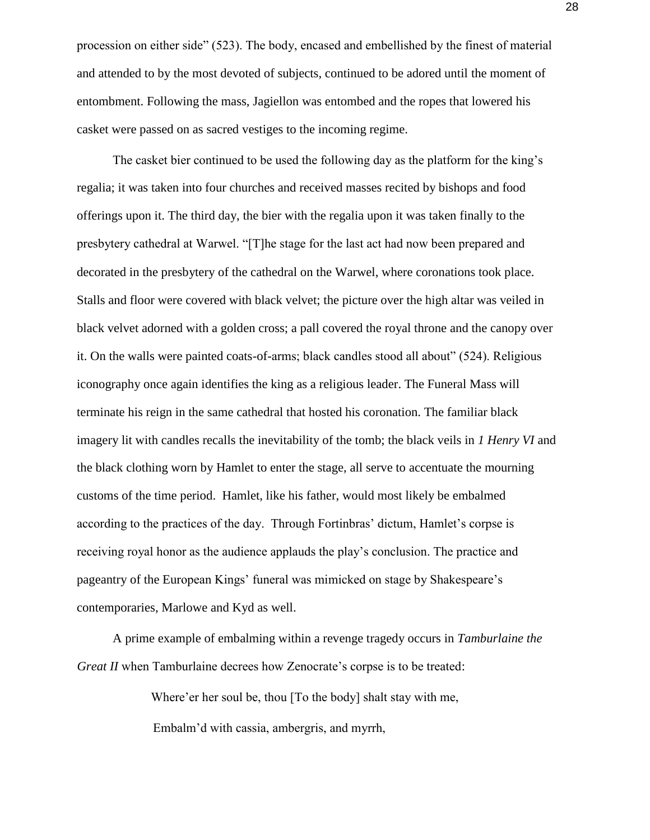procession on either side" (523). The body, encased and embellished by the finest of material and attended to by the most devoted of subjects, continued to be adored until the moment of entombment. Following the mass, Jagiellon was entombed and the ropes that lowered his casket were passed on as sacred vestiges to the incoming regime.

The casket bier continued to be used the following day as the platform for the king's regalia; it was taken into four churches and received masses recited by bishops and food offerings upon it. The third day, the bier with the regalia upon it was taken finally to the presbytery cathedral at Warwel. "[T]he stage for the last act had now been prepared and decorated in the presbytery of the cathedral on the Warwel, where coronations took place. Stalls and floor were covered with black velvet; the picture over the high altar was veiled in black velvet adorned with a golden cross; a pall covered the royal throne and the canopy over it. On the walls were painted coats-of-arms; black candles stood all about" (524). Religious iconography once again identifies the king as a religious leader. The Funeral Mass will terminate his reign in the same cathedral that hosted his coronation. The familiar black imagery lit with candles recalls the inevitability of the tomb; the black veils in *1 Henry VI* and the black clothing worn by Hamlet to enter the stage, all serve to accentuate the mourning customs of the time period. Hamlet, like his father, would most likely be embalmed according to the practices of the day. Through Fortinbras' dictum, Hamlet's corpse is receiving royal honor as the audience applauds the play's conclusion. The practice and pageantry of the European Kings' funeral was mimicked on stage by Shakespeare's contemporaries, Marlowe and Kyd as well.

A prime example of embalming within a revenge tragedy occurs in *Tamburlaine the Great II* when Tamburlaine decrees how Zenocrate's corpse is to be treated:

> Where'er her soul be, thou [To the body] shalt stay with me, Embalm'd with cassia, ambergris, and myrrh,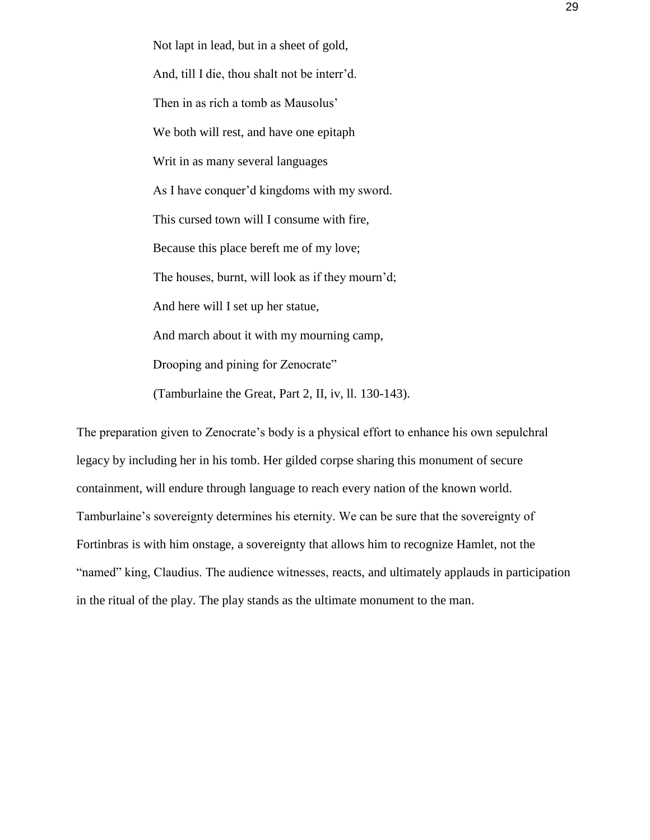Not lapt in lead, but in a sheet of gold, And, till I die, thou shalt not be interr'd. Then in as rich a tomb as Mausolus' We both will rest, and have one epitaph Writ in as many several languages As I have conquer'd kingdoms with my sword. This cursed town will I consume with fire, Because this place bereft me of my love; The houses, burnt, will look as if they mourn'd; And here will I set up her statue, And march about it with my mourning camp, Drooping and pining for Zenocrate" (Tamburlaine the Great, Part 2, II, iv, ll. 130-143).

The preparation given to Zenocrate's body is a physical effort to enhance his own sepulchral legacy by including her in his tomb. Her gilded corpse sharing this monument of secure containment, will endure through language to reach every nation of the known world. Tamburlaine's sovereignty determines his eternity. We can be sure that the sovereignty of Fortinbras is with him onstage, a sovereignty that allows him to recognize Hamlet, not the "named" king, Claudius. The audience witnesses, reacts, and ultimately applauds in participation in the ritual of the play. The play stands as the ultimate monument to the man.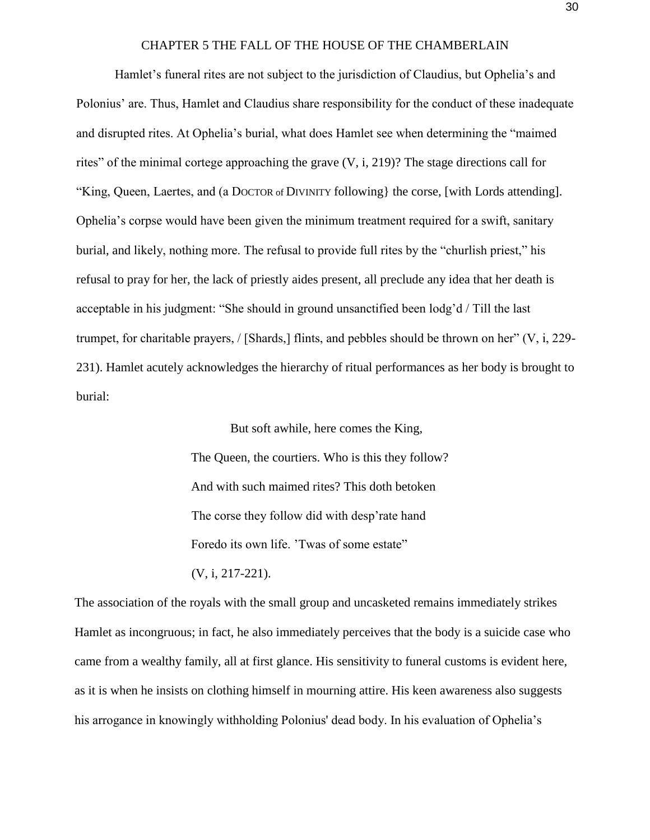#### CHAPTER 5 THE FALL OF THE HOUSE OF THE CHAMBERLAIN

Hamlet's funeral rites are not subject to the jurisdiction of Claudius, but Ophelia's and Polonius' are. Thus, Hamlet and Claudius share responsibility for the conduct of these inadequate and disrupted rites. At Ophelia's burial, what does Hamlet see when determining the "maimed rites" of the minimal cortege approaching the grave (V, i, 219)? The stage directions call for "King, Queen, Laertes, and (a DOCTOR of DIVINITY following} the corse, [with Lords attending]. Ophelia's corpse would have been given the minimum treatment required for a swift, sanitary burial, and likely, nothing more. The refusal to provide full rites by the "churlish priest," his refusal to pray for her, the lack of priestly aides present, all preclude any idea that her death is acceptable in his judgment: "She should in ground unsanctified been lodg'd / Till the last trumpet, for charitable prayers, / [Shards,] flints, and pebbles should be thrown on her" (V, i, 229- 231). Hamlet acutely acknowledges the hierarchy of ritual performances as her body is brought to burial:

> But soft awhile, here comes the King, The Queen, the courtiers. Who is this they follow? And with such maimed rites? This doth betoken The corse they follow did with desp'rate hand Foredo its own life. 'Twas of some estate" (V, i, 217-221).

The association of the royals with the small group and uncasketed remains immediately strikes Hamlet as incongruous; in fact, he also immediately perceives that the body is a suicide case who came from a wealthy family, all at first glance. His sensitivity to funeral customs is evident here, as it is when he insists on clothing himself in mourning attire. His keen awareness also suggests his arrogance in knowingly withholding Polonius' dead body. In his evaluation of Ophelia's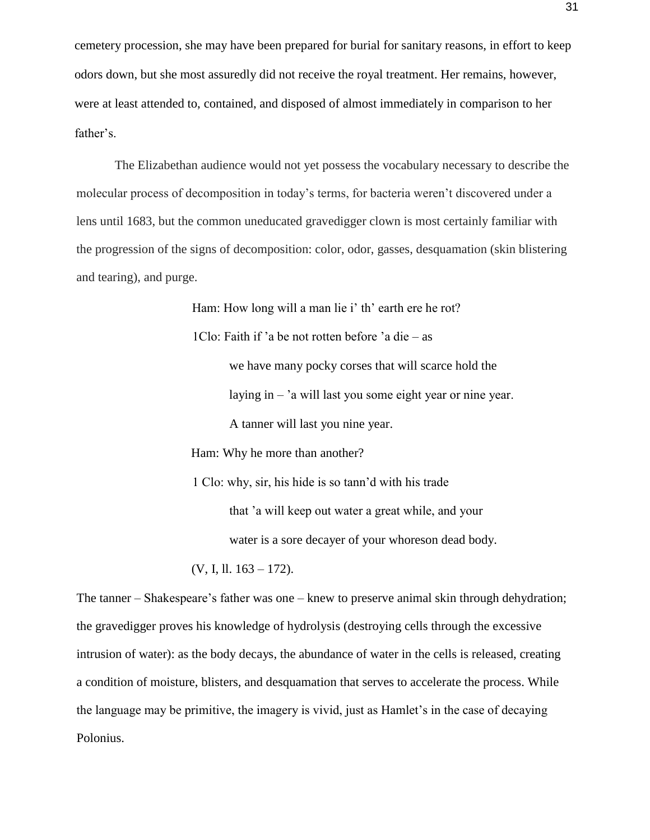cemetery procession, she may have been prepared for burial for sanitary reasons, in effort to keep odors down, but she most assuredly did not receive the royal treatment. Her remains, however, were at least attended to, contained, and disposed of almost immediately in comparison to her father's.

The Elizabethan audience would not yet possess the vocabulary necessary to describe the molecular process of decomposition in today's terms, for bacteria weren't discovered under a lens until 1683, but the common uneducated gravedigger clown is most certainly familiar with the progression of the signs of decomposition: color, odor, gasses, desquamation (skin blistering and tearing), and purge.

Ham: How long will a man lie i' th' earth ere he rot?

1Clo: Faith if 'a be not rotten before 'a die – as we have many pocky corses that will scarce hold the laying in – 'a will last you some eight year or nine year. A tanner will last you nine year.

Ham: Why he more than another?

1 Clo: why, sir, his hide is so tann'd with his trade that 'a will keep out water a great while, and your water is a sore decayer of your whoreson dead body.

(V, I, ll. 163 – 172).

The tanner – Shakespeare's father was one – knew to preserve animal skin through dehydration; the gravedigger proves his knowledge of hydrolysis (destroying cells through the excessive intrusion of water): as the body decays, the abundance of water in the cells is released, creating a condition of moisture, blisters, and desquamation that serves to accelerate the process. While the language may be primitive, the imagery is vivid, just as Hamlet's in the case of decaying Polonius.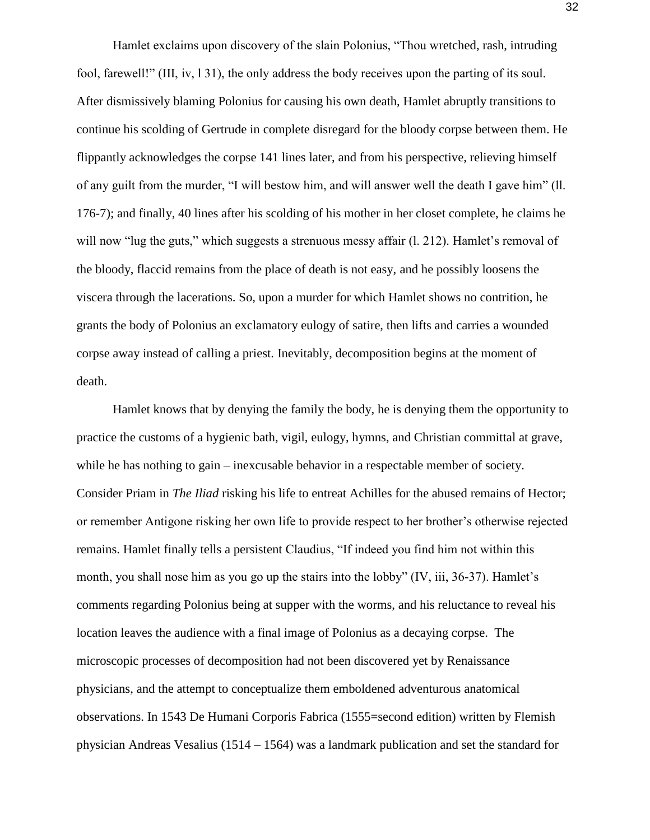Hamlet exclaims upon discovery of the slain Polonius, "Thou wretched, rash, intruding fool, farewell!" (III, iv, l 31), the only address the body receives upon the parting of its soul. After dismissively blaming Polonius for causing his own death, Hamlet abruptly transitions to continue his scolding of Gertrude in complete disregard for the bloody corpse between them. He flippantly acknowledges the corpse 141 lines later, and from his perspective, relieving himself of any guilt from the murder, "I will bestow him, and will answer well the death I gave him" (ll. 176-7); and finally, 40 lines after his scolding of his mother in her closet complete, he claims he will now "lug the guts," which suggests a strenuous messy affair (1, 212). Hamlet's removal of the bloody, flaccid remains from the place of death is not easy, and he possibly loosens the viscera through the lacerations. So, upon a murder for which Hamlet shows no contrition, he grants the body of Polonius an exclamatory eulogy of satire, then lifts and carries a wounded corpse away instead of calling a priest. Inevitably, decomposition begins at the moment of death.

Hamlet knows that by denying the family the body, he is denying them the opportunity to practice the customs of a hygienic bath, vigil, eulogy, hymns, and Christian committal at grave, while he has nothing to gain – inexcusable behavior in a respectable member of society. Consider Priam in *The Iliad* risking his life to entreat Achilles for the abused remains of Hector; or remember Antigone risking her own life to provide respect to her brother's otherwise rejected remains. Hamlet finally tells a persistent Claudius, "If indeed you find him not within this month, you shall nose him as you go up the stairs into the lobby" (IV, iii, 36-37). Hamlet's comments regarding Polonius being at supper with the worms, and his reluctance to reveal his location leaves the audience with a final image of Polonius as a decaying corpse. The microscopic processes of decomposition had not been discovered yet by Renaissance physicians, and the attempt to conceptualize them emboldened adventurous anatomical observations. In 1543 De Humani Corporis Fabrica (1555=second edition) written by Flemish physician Andreas Vesalius (1514 – 1564) was a landmark publication and set the standard for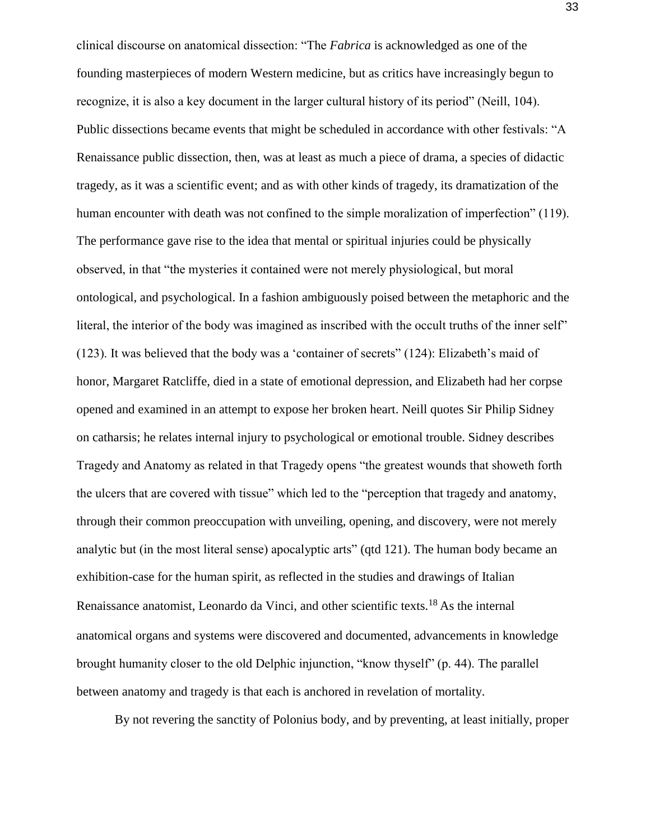clinical discourse on anatomical dissection: "The *Fabrica* is acknowledged as one of the founding masterpieces of modern Western medicine, but as critics have increasingly begun to recognize, it is also a key document in the larger cultural history of its period" (Neill, 104). Public dissections became events that might be scheduled in accordance with other festivals: "A Renaissance public dissection, then, was at least as much a piece of drama, a species of didactic tragedy, as it was a scientific event; and as with other kinds of tragedy, its dramatization of the human encounter with death was not confined to the simple moralization of imperfection" (119). The performance gave rise to the idea that mental or spiritual injuries could be physically observed, in that "the mysteries it contained were not merely physiological, but moral ontological, and psychological. In a fashion ambiguously poised between the metaphoric and the literal, the interior of the body was imagined as inscribed with the occult truths of the inner self" (123). It was believed that the body was a 'container of secrets" (124): Elizabeth's maid of honor, Margaret Ratcliffe, died in a state of emotional depression, and Elizabeth had her corpse opened and examined in an attempt to expose her broken heart. Neill quotes Sir Philip Sidney on catharsis; he relates internal injury to psychological or emotional trouble. Sidney describes Tragedy and Anatomy as related in that Tragedy opens "the greatest wounds that showeth forth the ulcers that are covered with tissue" which led to the "perception that tragedy and anatomy, through their common preoccupation with unveiling, opening, and discovery, were not merely analytic but (in the most literal sense) apocalyptic arts" (qtd 121). The human body became an exhibition-case for the human spirit, as reflected in the studies and drawings of Italian Renaissance anatomist, Leonardo da Vinci, and other scientific texts.18 As the internal anatomical organs and systems were discovered and documented, advancements in knowledge brought humanity closer to the old Delphic injunction, "know thyself" (p. 44). The parallel between anatomy and tragedy is that each is anchored in revelation of mortality.

By not revering the sanctity of Polonius body, and by preventing, at least initially, proper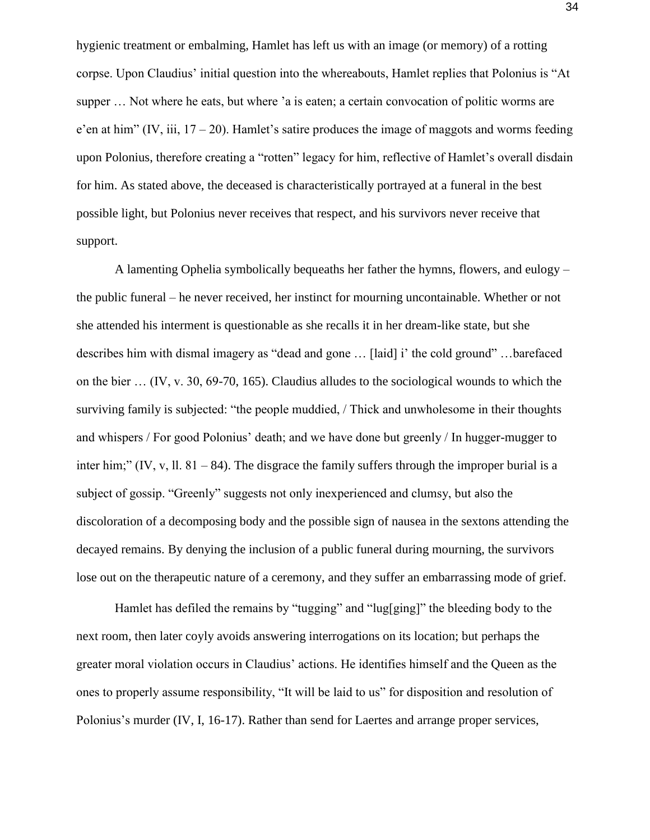hygienic treatment or embalming, Hamlet has left us with an image (or memory) of a rotting corpse. Upon Claudius' initial question into the whereabouts, Hamlet replies that Polonius is "At supper ... Not where he eats, but where 'a is eaten; a certain convocation of politic worms are e'en at him" (IV, iii,  $17 - 20$ ). Hamlet's satire produces the image of maggots and worms feeding upon Polonius, therefore creating a "rotten" legacy for him, reflective of Hamlet's overall disdain for him. As stated above, the deceased is characteristically portrayed at a funeral in the best possible light, but Polonius never receives that respect, and his survivors never receive that support.

A lamenting Ophelia symbolically bequeaths her father the hymns, flowers, and eulogy – the public funeral – he never received, her instinct for mourning uncontainable. Whether or not she attended his interment is questionable as she recalls it in her dream-like state, but she describes him with dismal imagery as "dead and gone … [laid] i' the cold ground" …barefaced on the bier … (IV, v. 30, 69-70, 165). Claudius alludes to the sociological wounds to which the surviving family is subjected: "the people muddied, / Thick and unwholesome in their thoughts and whispers / For good Polonius' death; and we have done but greenly / In hugger-mugger to inter him;" (IV, v, ll. 81 – 84). The disgrace the family suffers through the improper burial is a subject of gossip. "Greenly" suggests not only inexperienced and clumsy, but also the discoloration of a decomposing body and the possible sign of nausea in the sextons attending the decayed remains. By denying the inclusion of a public funeral during mourning, the survivors lose out on the therapeutic nature of a ceremony, and they suffer an embarrassing mode of grief.

Hamlet has defiled the remains by "tugging" and "lug[ging]" the bleeding body to the next room, then later coyly avoids answering interrogations on its location; but perhaps the greater moral violation occurs in Claudius' actions. He identifies himself and the Queen as the ones to properly assume responsibility, "It will be laid to us" for disposition and resolution of Polonius's murder (IV, I, 16-17). Rather than send for Laertes and arrange proper services,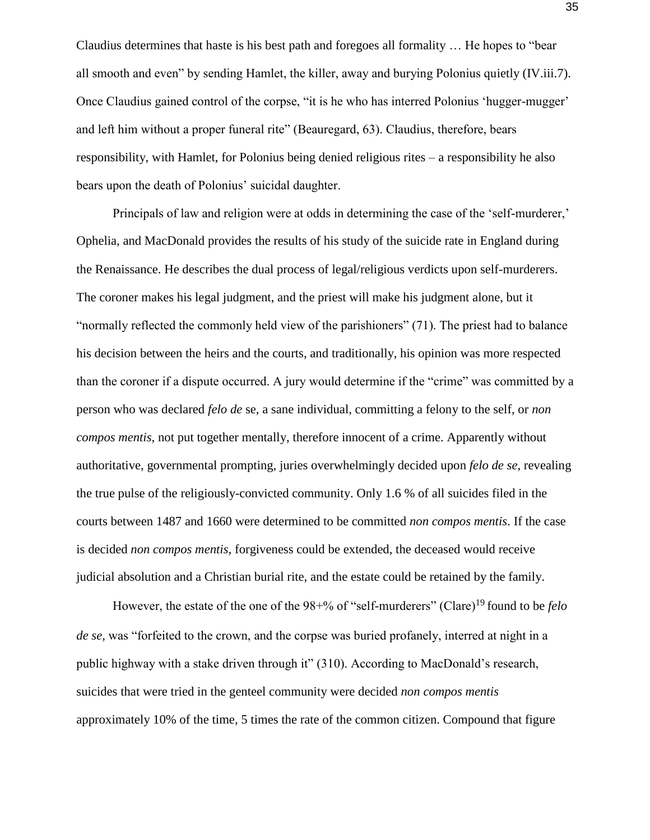Claudius determines that haste is his best path and foregoes all formality … He hopes to "bear all smooth and even" by sending Hamlet, the killer, away and burying Polonius quietly (IV.iii.7). Once Claudius gained control of the corpse, "it is he who has interred Polonius 'hugger-mugger' and left him without a proper funeral rite" (Beauregard, 63). Claudius, therefore, bears responsibility, with Hamlet, for Polonius being denied religious rites – a responsibility he also bears upon the death of Polonius' suicidal daughter.

Principals of law and religion were at odds in determining the case of the 'self-murderer,' Ophelia, and MacDonald provides the results of his study of the suicide rate in England during the Renaissance. He describes the dual process of legal/religious verdicts upon self-murderers. The coroner makes his legal judgment, and the priest will make his judgment alone, but it "normally reflected the commonly held view of the parishioners" (71). The priest had to balance his decision between the heirs and the courts, and traditionally, his opinion was more respected than the coroner if a dispute occurred. A jury would determine if the "crime" was committed by a person who was declared *felo de* se, a sane individual, committing a felony to the self, or *non compos mentis,* not put together mentally, therefore innocent of a crime. Apparently without authoritative, governmental prompting, juries overwhelmingly decided upon *felo de se,* revealing the true pulse of the religiously-convicted community. Only 1.6 % of all suicides filed in the courts between 1487 and 1660 were determined to be committed *non compos mentis*. If the case is decided *non compos mentis,* forgiveness could be extended, the deceased would receive judicial absolution and a Christian burial rite, and the estate could be retained by the family.

However, the estate of the one of the 98+% of "self-murderers" (Clare)19 found to be *felo de se,* was "forfeited to the crown, and the corpse was buried profanely, interred at night in a public highway with a stake driven through it" (310). According to MacDonald's research, suicides that were tried in the genteel community were decided *non compos mentis*  approximately 10% of the time, 5 times the rate of the common citizen. Compound that figure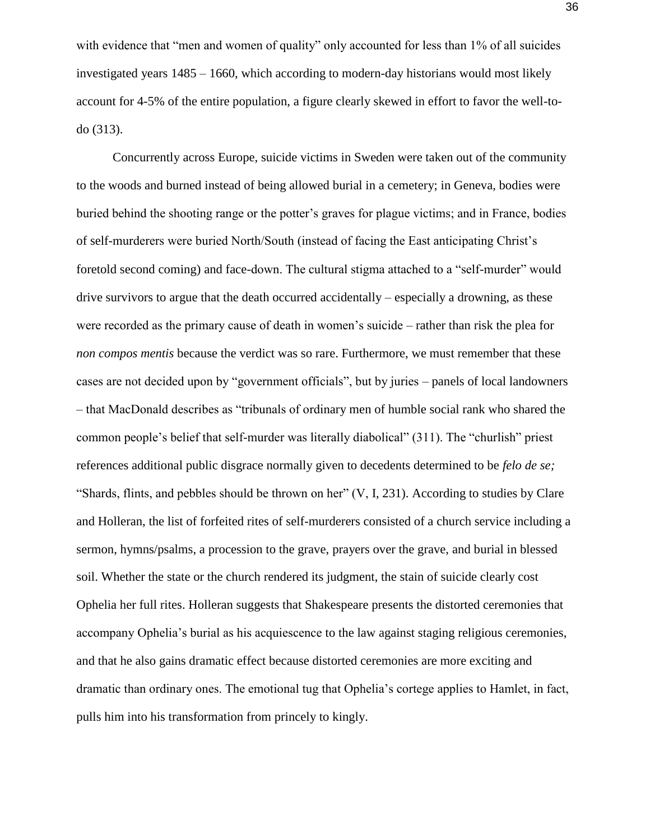with evidence that "men and women of quality" only accounted for less than 1% of all suicides investigated years 1485 – 1660, which according to modern-day historians would most likely account for 4-5% of the entire population, a figure clearly skewed in effort to favor the well-todo (313).

Concurrently across Europe, suicide victims in Sweden were taken out of the community to the woods and burned instead of being allowed burial in a cemetery; in Geneva, bodies were buried behind the shooting range or the potter's graves for plague victims; and in France, bodies of self-murderers were buried North/South (instead of facing the East anticipating Christ's foretold second coming) and face-down. The cultural stigma attached to a "self-murder" would drive survivors to argue that the death occurred accidentally – especially a drowning, as these were recorded as the primary cause of death in women's suicide – rather than risk the plea for *non compos mentis* because the verdict was so rare. Furthermore, we must remember that these cases are not decided upon by "government officials", but by juries – panels of local landowners – that MacDonald describes as "tribunals of ordinary men of humble social rank who shared the common people's belief that self-murder was literally diabolical" (311). The "churlish" priest references additional public disgrace normally given to decedents determined to be *felo de se;*  "Shards, flints, and pebbles should be thrown on her" (V, I, 231). According to studies by Clare and Holleran, the list of forfeited rites of self-murderers consisted of a church service including a sermon, hymns/psalms, a procession to the grave, prayers over the grave, and burial in blessed soil. Whether the state or the church rendered its judgment, the stain of suicide clearly cost Ophelia her full rites. Holleran suggests that Shakespeare presents the distorted ceremonies that accompany Ophelia's burial as his acquiescence to the law against staging religious ceremonies, and that he also gains dramatic effect because distorted ceremonies are more exciting and dramatic than ordinary ones. The emotional tug that Ophelia's cortege applies to Hamlet, in fact, pulls him into his transformation from princely to kingly.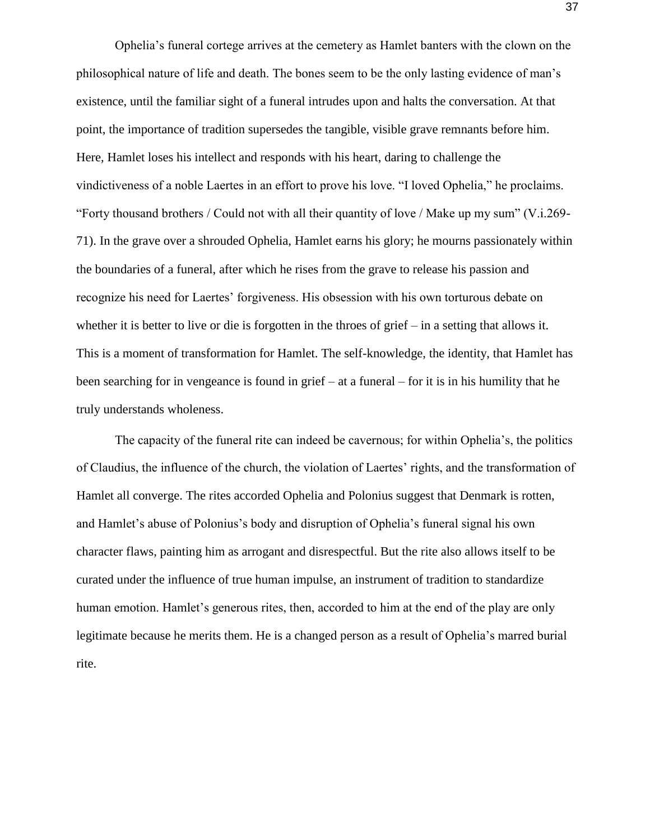Ophelia's funeral cortege arrives at the cemetery as Hamlet banters with the clown on the philosophical nature of life and death. The bones seem to be the only lasting evidence of man's existence, until the familiar sight of a funeral intrudes upon and halts the conversation. At that point, the importance of tradition supersedes the tangible, visible grave remnants before him. Here, Hamlet loses his intellect and responds with his heart, daring to challenge the vindictiveness of a noble Laertes in an effort to prove his love. "I loved Ophelia," he proclaims. "Forty thousand brothers / Could not with all their quantity of love / Make up my sum" (V.i.269- 71). In the grave over a shrouded Ophelia, Hamlet earns his glory; he mourns passionately within the boundaries of a funeral, after which he rises from the grave to release his passion and recognize his need for Laertes' forgiveness. His obsession with his own torturous debate on whether it is better to live or die is forgotten in the throes of grief – in a setting that allows it. This is a moment of transformation for Hamlet. The self-knowledge, the identity, that Hamlet has been searching for in vengeance is found in grief – at a funeral – for it is in his humility that he truly understands wholeness.

The capacity of the funeral rite can indeed be cavernous; for within Ophelia's, the politics of Claudius, the influence of the church, the violation of Laertes' rights, and the transformation of Hamlet all converge. The rites accorded Ophelia and Polonius suggest that Denmark is rotten, and Hamlet's abuse of Polonius's body and disruption of Ophelia's funeral signal his own character flaws, painting him as arrogant and disrespectful. But the rite also allows itself to be curated under the influence of true human impulse, an instrument of tradition to standardize human emotion. Hamlet's generous rites, then, accorded to him at the end of the play are only legitimate because he merits them. He is a changed person as a result of Ophelia's marred burial rite.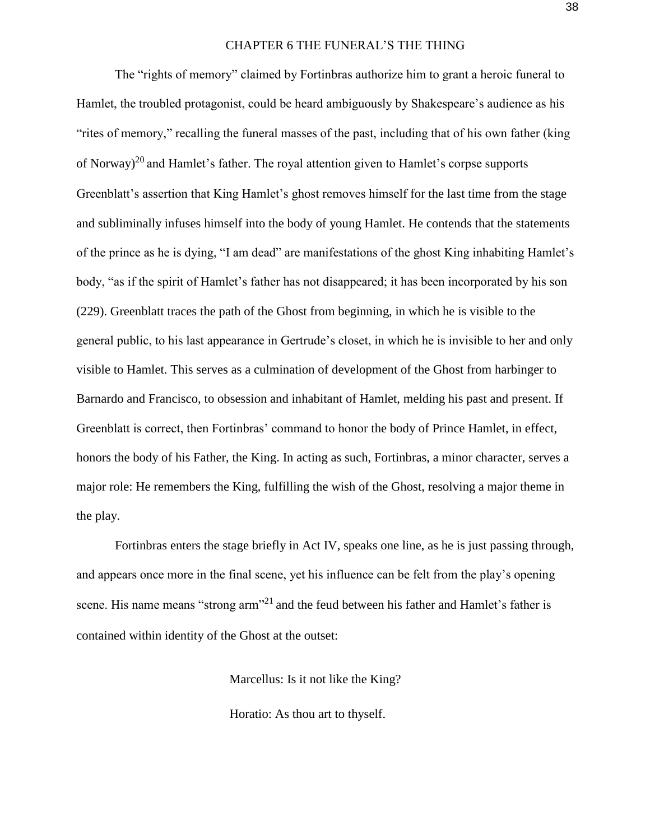#### CHAPTER 6 THE FUNERAL'S THE THING

The "rights of memory" claimed by Fortinbras authorize him to grant a heroic funeral to Hamlet, the troubled protagonist, could be heard ambiguously by Shakespeare's audience as his "rites of memory," recalling the funeral masses of the past, including that of his own father (king of Norway)<sup>20</sup> and Hamlet's father. The royal attention given to Hamlet's corpse supports Greenblatt's assertion that King Hamlet's ghost removes himself for the last time from the stage and subliminally infuses himself into the body of young Hamlet. He contends that the statements of the prince as he is dying, "I am dead" are manifestations of the ghost King inhabiting Hamlet's body, "as if the spirit of Hamlet's father has not disappeared; it has been incorporated by his son (229). Greenblatt traces the path of the Ghost from beginning, in which he is visible to the general public, to his last appearance in Gertrude's closet, in which he is invisible to her and only visible to Hamlet. This serves as a culmination of development of the Ghost from harbinger to Barnardo and Francisco, to obsession and inhabitant of Hamlet, melding his past and present. If Greenblatt is correct, then Fortinbras' command to honor the body of Prince Hamlet, in effect, honors the body of his Father, the King. In acting as such, Fortinbras, a minor character, serves a major role: He remembers the King, fulfilling the wish of the Ghost, resolving a major theme in the play.

Fortinbras enters the stage briefly in Act IV, speaks one line, as he is just passing through, and appears once more in the final scene, yet his influence can be felt from the play's opening scene. His name means "strong arm"<sup>21</sup> and the feud between his father and Hamlet's father is contained within identity of the Ghost at the outset:

Marcellus: Is it not like the King?

Horatio: As thou art to thyself.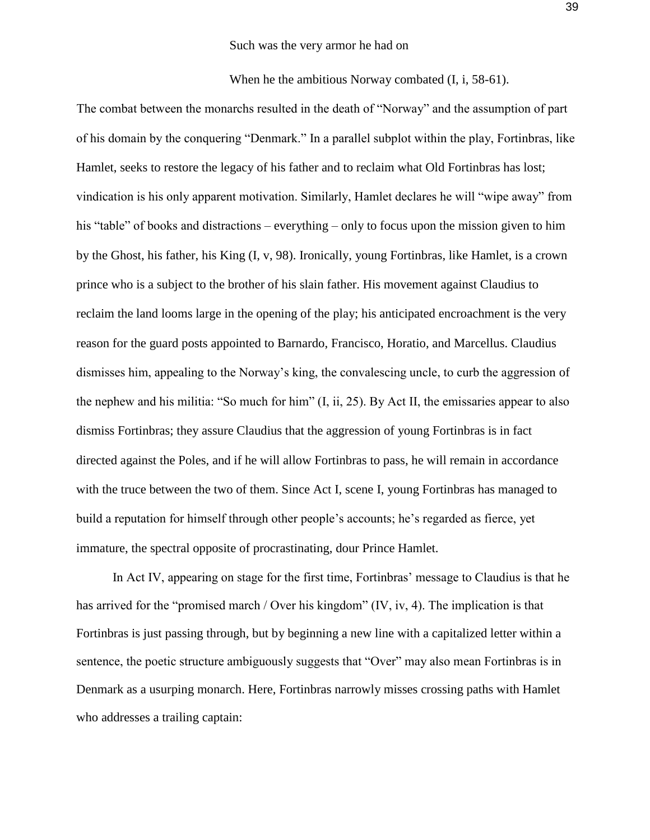When he the ambitious Norway combated (I, i, 58-61).

The combat between the monarchs resulted in the death of "Norway" and the assumption of part of his domain by the conquering "Denmark." In a parallel subplot within the play, Fortinbras, like Hamlet, seeks to restore the legacy of his father and to reclaim what Old Fortinbras has lost; vindication is his only apparent motivation. Similarly, Hamlet declares he will "wipe away" from his "table" of books and distractions – everything – only to focus upon the mission given to him by the Ghost, his father, his King (I, v, 98). Ironically, young Fortinbras, like Hamlet, is a crown prince who is a subject to the brother of his slain father. His movement against Claudius to reclaim the land looms large in the opening of the play; his anticipated encroachment is the very reason for the guard posts appointed to Barnardo, Francisco, Horatio, and Marcellus. Claudius dismisses him, appealing to the Norway's king, the convalescing uncle, to curb the aggression of the nephew and his militia: "So much for him" (I, ii, 25). By Act II, the emissaries appear to also dismiss Fortinbras; they assure Claudius that the aggression of young Fortinbras is in fact directed against the Poles, and if he will allow Fortinbras to pass, he will remain in accordance with the truce between the two of them. Since Act I, scene I, young Fortinbras has managed to build a reputation for himself through other people's accounts; he's regarded as fierce, yet immature, the spectral opposite of procrastinating, dour Prince Hamlet.

In Act IV, appearing on stage for the first time, Fortinbras' message to Claudius is that he has arrived for the "promised march / Over his kingdom" (IV, iv, 4). The implication is that Fortinbras is just passing through, but by beginning a new line with a capitalized letter within a sentence, the poetic structure ambiguously suggests that "Over" may also mean Fortinbras is in Denmark as a usurping monarch. Here, Fortinbras narrowly misses crossing paths with Hamlet who addresses a trailing captain: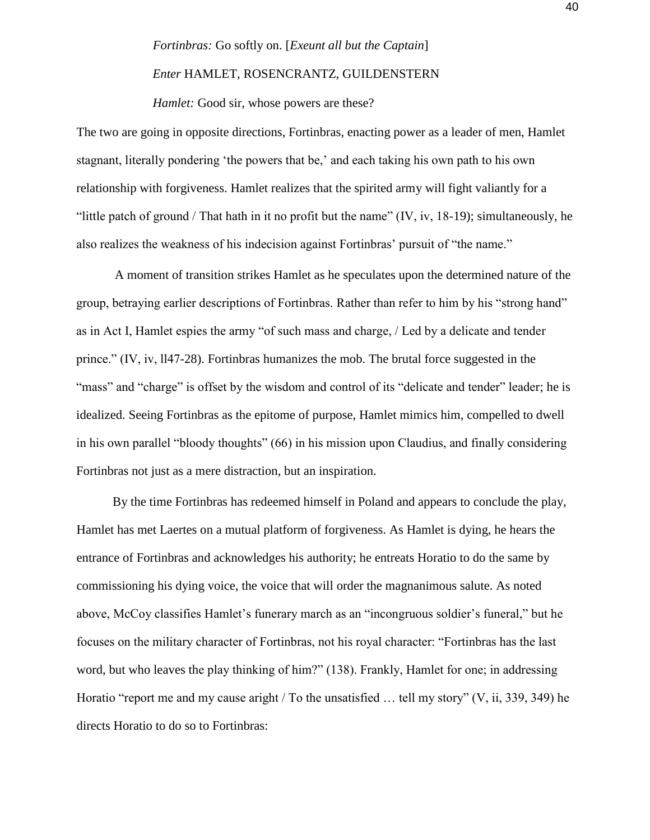# *Fortinbras:* Go softly on. [*Exeunt all but the Captain*]

### *Enter* HAMLET, ROSENCRANTZ, GUILDENSTERN

*Hamlet:* Good sir, whose powers are these?

The two are going in opposite directions, Fortinbras, enacting power as a leader of men, Hamlet stagnant, literally pondering 'the powers that be,' and each taking his own path to his own relationship with forgiveness. Hamlet realizes that the spirited army will fight valiantly for a "little patch of ground / That hath in it no profit but the name" (IV, iv, 18-19); simultaneously, he also realizes the weakness of his indecision against Fortinbras' pursuit of "the name."

A moment of transition strikes Hamlet as he speculates upon the determined nature of the group, betraying earlier descriptions of Fortinbras. Rather than refer to him by his "strong hand" as in Act I, Hamlet espies the army "of such mass and charge, / Led by a delicate and tender prince." (IV, iv, ll47-28). Fortinbras humanizes the mob. The brutal force suggested in the "mass" and "charge" is offset by the wisdom and control of its "delicate and tender" leader; he is idealized. Seeing Fortinbras as the epitome of purpose, Hamlet mimics him, compelled to dwell in his own parallel "bloody thoughts" (66) in his mission upon Claudius, and finally considering Fortinbras not just as a mere distraction, but an inspiration.

By the time Fortinbras has redeemed himself in Poland and appears to conclude the play, Hamlet has met Laertes on a mutual platform of forgiveness. As Hamlet is dying, he hears the entrance of Fortinbras and acknowledges his authority; he entreats Horatio to do the same by commissioning his dying voice, the voice that will order the magnanimous salute. As noted above, McCoy classifies Hamlet's funerary march as an "incongruous soldier's funeral," but he focuses on the military character of Fortinbras, not his royal character: "Fortinbras has the last word, but who leaves the play thinking of him?" (138). Frankly, Hamlet for one; in addressing Horatio "report me and my cause aright / To the unsatisfied … tell my story" (V, ii, 339, 349) he directs Horatio to do so to Fortinbras: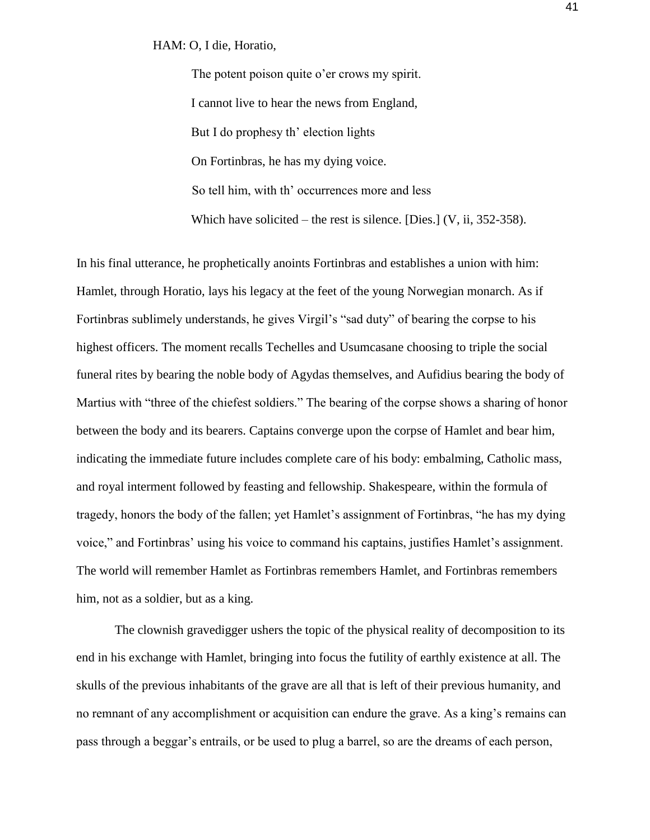HAM: O, I die, Horatio,

The potent poison quite o'er crows my spirit. I cannot live to hear the news from England, But I do prophesy th' election lights On Fortinbras, he has my dying voice. So tell him, with th' occurrences more and less Which have solicited – the rest is silence. [Dies.] (V, ii, 352-358).

In his final utterance, he prophetically anoints Fortinbras and establishes a union with him: Hamlet, through Horatio, lays his legacy at the feet of the young Norwegian monarch. As if Fortinbras sublimely understands, he gives Virgil's "sad duty" of bearing the corpse to his highest officers. The moment recalls Techelles and Usumcasane choosing to triple the social funeral rites by bearing the noble body of Agydas themselves, and Aufidius bearing the body of Martius with "three of the chiefest soldiers." The bearing of the corpse shows a sharing of honor between the body and its bearers. Captains converge upon the corpse of Hamlet and bear him, indicating the immediate future includes complete care of his body: embalming, Catholic mass, and royal interment followed by feasting and fellowship. Shakespeare, within the formula of tragedy, honors the body of the fallen; yet Hamlet's assignment of Fortinbras, "he has my dying voice," and Fortinbras' using his voice to command his captains, justifies Hamlet's assignment. The world will remember Hamlet as Fortinbras remembers Hamlet, and Fortinbras remembers him, not as a soldier, but as a king.

The clownish gravedigger ushers the topic of the physical reality of decomposition to its end in his exchange with Hamlet, bringing into focus the futility of earthly existence at all. The skulls of the previous inhabitants of the grave are all that is left of their previous humanity, and no remnant of any accomplishment or acquisition can endure the grave. As a king's remains can pass through a beggar's entrails, or be used to plug a barrel, so are the dreams of each person,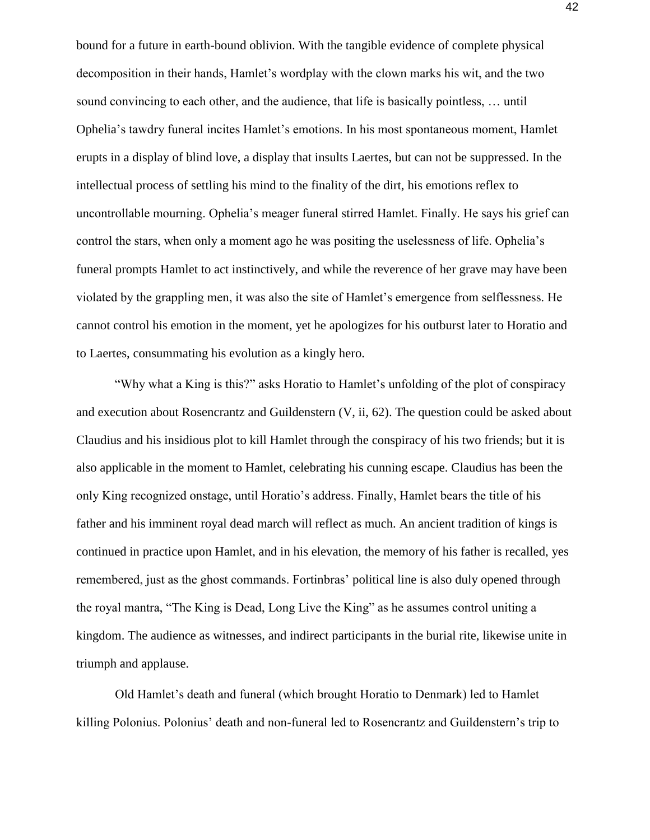bound for a future in earth-bound oblivion. With the tangible evidence of complete physical decomposition in their hands, Hamlet's wordplay with the clown marks his wit, and the two sound convincing to each other, and the audience, that life is basically pointless, … until Ophelia's tawdry funeral incites Hamlet's emotions. In his most spontaneous moment, Hamlet erupts in a display of blind love, a display that insults Laertes, but can not be suppressed. In the intellectual process of settling his mind to the finality of the dirt, his emotions reflex to uncontrollable mourning. Ophelia's meager funeral stirred Hamlet. Finally. He says his grief can control the stars, when only a moment ago he was positing the uselessness of life. Ophelia's funeral prompts Hamlet to act instinctively, and while the reverence of her grave may have been violated by the grappling men, it was also the site of Hamlet's emergence from selflessness. He cannot control his emotion in the moment, yet he apologizes for his outburst later to Horatio and to Laertes, consummating his evolution as a kingly hero.

"Why what a King is this?" asks Horatio to Hamlet's unfolding of the plot of conspiracy and execution about Rosencrantz and Guildenstern (V, ii, 62). The question could be asked about Claudius and his insidious plot to kill Hamlet through the conspiracy of his two friends; but it is also applicable in the moment to Hamlet, celebrating his cunning escape. Claudius has been the only King recognized onstage, until Horatio's address. Finally, Hamlet bears the title of his father and his imminent royal dead march will reflect as much. An ancient tradition of kings is continued in practice upon Hamlet, and in his elevation, the memory of his father is recalled, yes remembered, just as the ghost commands. Fortinbras' political line is also duly opened through the royal mantra, "The King is Dead, Long Live the King" as he assumes control uniting a kingdom. The audience as witnesses, and indirect participants in the burial rite, likewise unite in triumph and applause.

Old Hamlet's death and funeral (which brought Horatio to Denmark) led to Hamlet killing Polonius. Polonius' death and non-funeral led to Rosencrantz and Guildenstern's trip to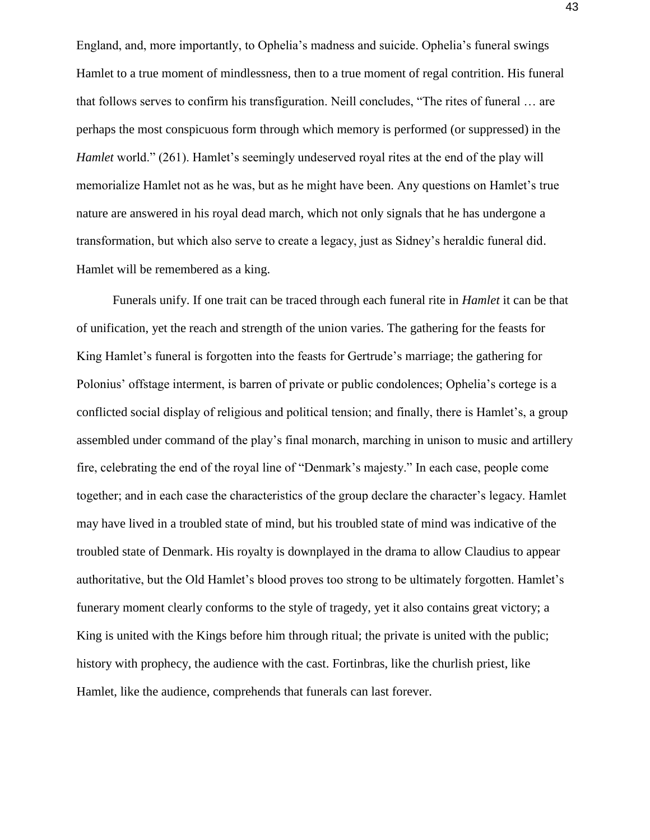England, and, more importantly, to Ophelia's madness and suicide. Ophelia's funeral swings Hamlet to a true moment of mindlessness, then to a true moment of regal contrition. His funeral that follows serves to confirm his transfiguration. Neill concludes, "The rites of funeral … are perhaps the most conspicuous form through which memory is performed (or suppressed) in the *Hamlet* world." (261). Hamlet's seemingly undeserved royal rites at the end of the play will memorialize Hamlet not as he was, but as he might have been. Any questions on Hamlet's true nature are answered in his royal dead march, which not only signals that he has undergone a transformation, but which also serve to create a legacy, just as Sidney's heraldic funeral did. Hamlet will be remembered as a king.

Funerals unify. If one trait can be traced through each funeral rite in *Hamlet* it can be that of unification, yet the reach and strength of the union varies. The gathering for the feasts for King Hamlet's funeral is forgotten into the feasts for Gertrude's marriage; the gathering for Polonius' offstage interment, is barren of private or public condolences; Ophelia's cortege is a conflicted social display of religious and political tension; and finally, there is Hamlet's, a group assembled under command of the play's final monarch, marching in unison to music and artillery fire, celebrating the end of the royal line of "Denmark's majesty." In each case, people come together; and in each case the characteristics of the group declare the character's legacy. Hamlet may have lived in a troubled state of mind, but his troubled state of mind was indicative of the troubled state of Denmark. His royalty is downplayed in the drama to allow Claudius to appear authoritative, but the Old Hamlet's blood proves too strong to be ultimately forgotten. Hamlet's funerary moment clearly conforms to the style of tragedy, yet it also contains great victory; a King is united with the Kings before him through ritual; the private is united with the public; history with prophecy, the audience with the cast. Fortinbras, like the churlish priest, like Hamlet, like the audience, comprehends that funerals can last forever.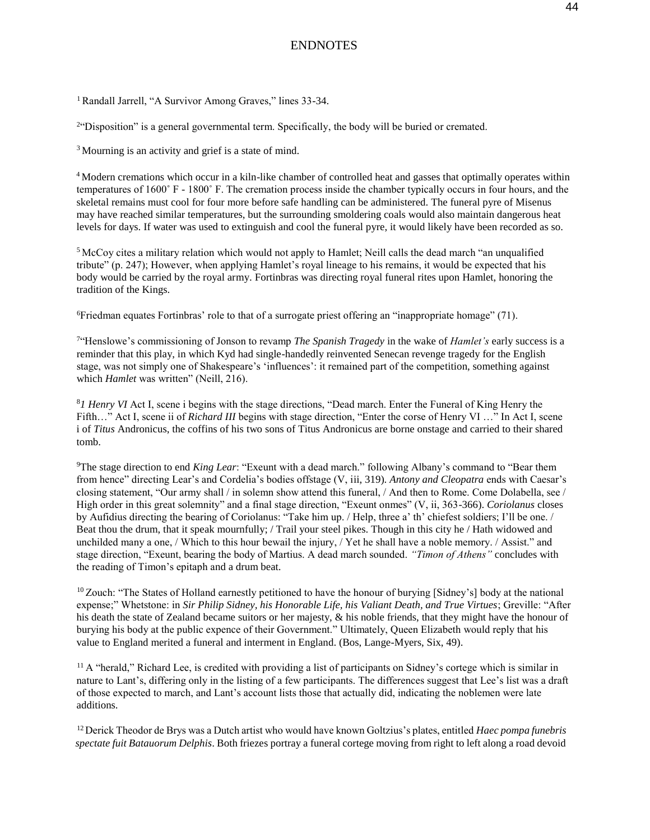### ENDNOTES

<sup>1</sup> Randall Jarrell, "A Survivor Among Graves," lines 33-34.

 $2^{\circ}$ Disposition" is a general governmental term. Specifically, the body will be buried or cremated.

<sup>3</sup>Mourning is an activity and grief is a state of mind.

<sup>4</sup> Modern cremations which occur in a kiln-like chamber of controlled heat and gasses that optimally operates within temperatures of 1600˚ F - 1800˚ F. The cremation process inside the chamber typically occurs in four hours, and the skeletal remains must cool for four more before safe handling can be administered. The funeral pyre of Misenus may have reached similar temperatures, but the surrounding smoldering coals would also maintain dangerous heat levels for days. If water was used to extinguish and cool the funeral pyre, it would likely have been recorded as so.

<sup>5</sup>McCoy cites a military relation which would not apply to Hamlet; Neill calls the dead march "an unqualified tribute" (p. 247); However, when applying Hamlet's royal lineage to his remains, it would be expected that his body would be carried by the royal army. Fortinbras was directing royal funeral rites upon Hamlet, honoring the tradition of the Kings.

<sup>6</sup>Friedman equates Fortinbras' role to that of a surrogate priest offering an "inappropriate homage" (71).

7 "Henslowe's commissioning of Jonson to revamp *The Spanish Tragedy* in the wake of *Hamlet's* early success is a reminder that this play, in which Kyd had single-handedly reinvented Senecan revenge tragedy for the English stage, was not simply one of Shakespeare's 'influences': it remained part of the competition, something against which *Hamlet* was written" (Neill, 216).

<sup>8</sup>*1 Henry VI* Act I, scene i begins with the stage directions, "Dead march. Enter the Funeral of King Henry the Fifth…" Act I, scene ii of *Richard III* begins with stage direction, "Enter the corse of Henry VI …" In Act I, scene i of *Titus* Andronicus, the coffins of his two sons of Titus Andronicus are borne onstage and carried to their shared tomb.

<sup>9</sup>The stage direction to end *King Lear*: "Exeunt with a dead march." following Albany's command to "Bear them from hence" directing Lear's and Cordelia's bodies offstage (V, iii, 319). *Antony and Cleopatra* ends with Caesar's closing statement, "Our army shall / in solemn show attend this funeral, / And then to Rome. Come Dolabella, see / High order in this great solemnity" and a final stage direction, "Exeunt onmes" (V, ii, 363-366). *Coriolanus* closes by Aufidius directing the bearing of Coriolanus: "Take him up. / Help, three a' th' chiefest soldiers; I'll be one. / Beat thou the drum, that it speak mournfully; / Trail your steel pikes. Though in this city he / Hath widowed and unchilded many a one, / Which to this hour bewail the injury, / Yet he shall have a noble memory. / Assist." and stage direction, "Exeunt, bearing the body of Martius. A dead march sounded. *"Timon of Athens"* concludes with the reading of Timon's epitaph and a drum beat.

 $10$  Zouch: "The States of Holland earnestly petitioned to have the honour of burying [Sidney's] body at the national expense;" Whetstone: in *Sir Philip Sidney, his Honorable Life, his Valiant Death, and True Virtues*; Greville: "After his death the state of Zealand became suitors or her majesty, & his noble friends, that they might have the honour of burying his body at the public expence of their Government." Ultimately, Queen Elizabeth would reply that his value to England merited a funeral and interment in England. (Bos, Lange-Myers, Six, 49).

 $11$  A "herald," Richard Lee, is credited with providing a list of participants on Sidney's cortege which is similar in nature to Lant's, differing only in the listing of a few participants. The differences suggest that Lee's list was a draft of those expected to march, and Lant's account lists those that actually did, indicating the noblemen were late additions.

<sup>12</sup>Derick Theodor de Brys was a Dutch artist who would have known Goltzius's plates, entitled *Haec pompa funebris spectate fuit Batauorum Delphis*. Both friezes portray a funeral cortege moving from right to left along a road devoid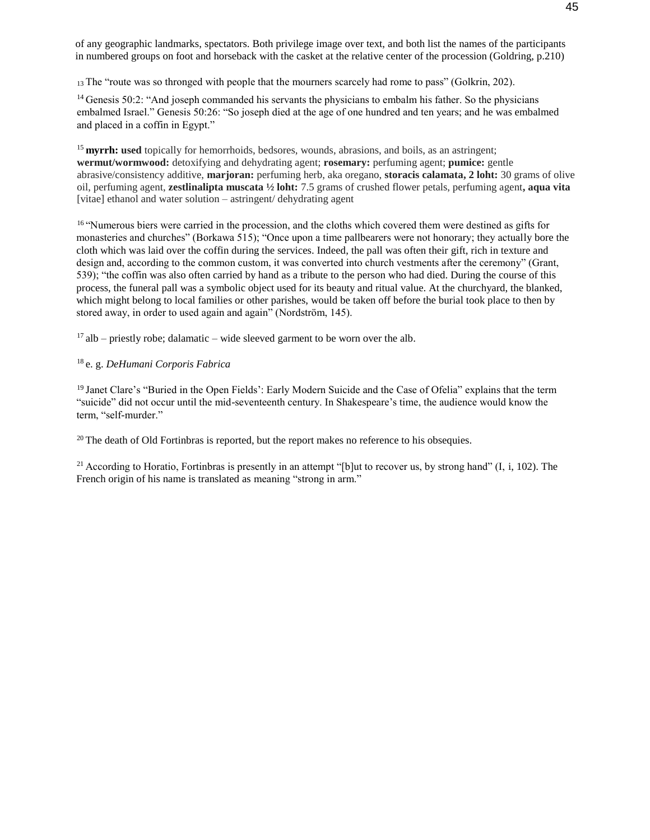of any geographic landmarks, spectators. Both privilege image over text, and both list the names of the participants in numbered groups on foot and horseback with the casket at the relative center of the procession (Goldring, p.210)

<sup>13</sup> The "route was so thronged with people that the mourners scarcely had rome to pass" (Golkrin, 202).

<sup>14</sup> Genesis 50:2: "And joseph commanded his servants the physicians to embalm his father. So the physicians embalmed Israel." Genesis 50:26: "So joseph died at the age of one hundred and ten years; and he was embalmed and placed in a coffin in Egypt."

<sup>15</sup> myrrh: used topically for hemorrhoids, bedsores, wounds, abrasions, and boils, as an astringent; **wermut/wormwood:** detoxifying and dehydrating agent; **rosemary:** perfuming agent; **pumice:** gentle abrasive/consistency additive, **marjoran:** perfuming herb, aka oregano, **storacis calamata, 2 loht:** 30 grams of olive oil, perfuming agent, **zestlinalipta muscata ½ loht:** 7.5 grams of crushed flower petals, perfuming agent**, aqua vita**  [vitae] ethanol and water solution – astringent/ dehydrating agent

<sup>16</sup> "Numerous biers were carried in the procession, and the cloths which covered them were destined as gifts for monasteries and churches" (Borkawa 515); "Once upon a time pallbearers were not honorary; they actually bore the cloth which was laid over the coffin during the services. Indeed, the pall was often their gift, rich in texture and design and, according to the common custom, it was converted into church vestments after the ceremony" (Grant, 539); "the coffin was also often carried by hand as a tribute to the person who had died. During the course of this process, the funeral pall was a symbolic object used for its beauty and ritual value. At the churchyard, the blanked, which might belong to local families or other parishes, would be taken off before the burial took place to then by stored away, in order to used again and again" (Nordström, 145).

 $17$  alb – priestly robe; dalamatic – wide sleeved garment to be worn over the alb.

#### <sup>18</sup>e. g. *DeHumani Corporis Fabrica*

<sup>19</sup> Janet Clare's "Buried in the Open Fields': Early Modern Suicide and the Case of Ofelia" explains that the term "suicide" did not occur until the mid-seventeenth century. In Shakespeare's time, the audience would know the term, "self-murder."

 $20$  The death of Old Fortinbras is reported, but the report makes no reference to his obsequies.

<sup>21</sup> According to Horatio, Fortinbras is presently in an attempt "[b]ut to recover us, by strong hand" (I, i, 102). The French origin of his name is translated as meaning "strong in arm."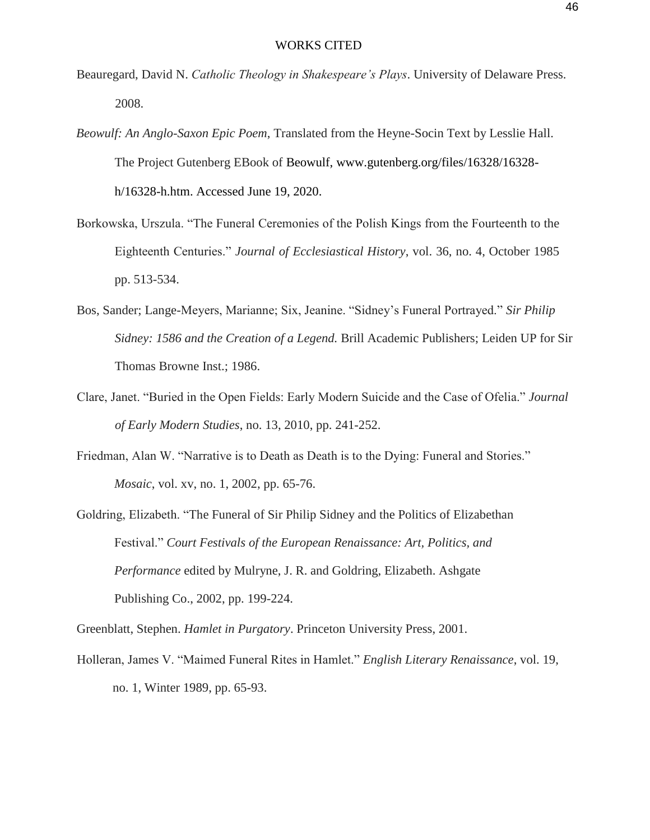- Beauregard, David N. *Catholic Theology in Shakespeare's Plays*. University of Delaware Press. 2008.
- *Beowulf: An Anglo-Saxon Epic Poem*, Translated from the Heyne-Socin Text by Lesslie Hall. The Project Gutenberg EBook of Beowulf, www.gutenberg.org/files/16328/16328 h/16328-h.htm. Accessed June 19, 2020.
- Borkowska, Urszula. "The Funeral Ceremonies of the Polish Kings from the Fourteenth to the Eighteenth Centuries." *Journal of Ecclesiastical History*, vol. 36, no. 4, October 1985 pp. 513-534.
- Bos, Sander; Lange-Meyers, Marianne; Six, Jeanine. "Sidney's Funeral Portrayed." *Sir Philip Sidney: 1586 and the Creation of a Legend.* Brill Academic Publishers; Leiden UP for Sir Thomas Browne Inst.; 1986.
- Clare, Janet. "Buried in the Open Fields: Early Modern Suicide and the Case of Ofelia." *Journal of Early Modern Studies*, no. 13, 2010, pp. 241-252.
- Friedman, Alan W. "Narrative is to Death as Death is to the Dying: Funeral and Stories." *Mosaic*, vol. xv, no. 1, 2002, pp. 65-76.
- Goldring, Elizabeth. "The Funeral of Sir Philip Sidney and the Politics of Elizabethan Festival." *Court Festivals of the European Renaissance: Art, Politics, and Performance* edited by Mulryne, J. R. and Goldring, Elizabeth. Ashgate Publishing Co., 2002, pp. 199-224.

Greenblatt, Stephen. *Hamlet in Purgatory*. Princeton University Press, 2001.

Holleran, James V. "Maimed Funeral Rites in Hamlet." *English Literary Renaissance*, vol. 19, no. 1, Winter 1989, pp. 65-93.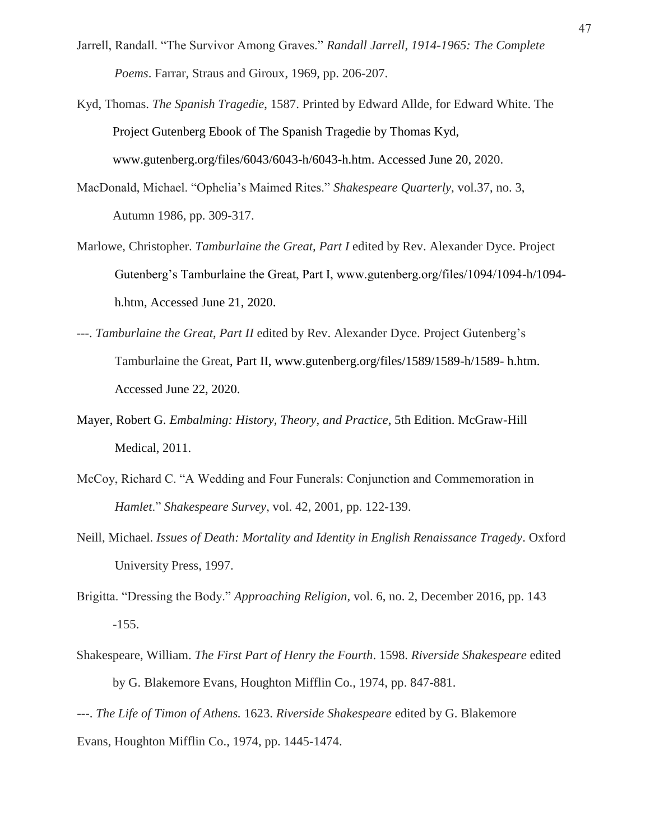- Jarrell, Randall. "The Survivor Among Graves." *Randall Jarrell, 1914-1965: The Complete Poems*. Farrar, Straus and Giroux, 1969, pp. 206-207.
- Kyd, Thomas. *The Spanish Tragedie*, 1587. Printed by Edward Allde, for Edward White. The Project Gutenberg Ebook of The Spanish Tragedie by Thomas Kyd, www.gutenberg.org/files/6043/6043-h/6043-h.htm. Accessed June 20, 2020.
- MacDonald, Michael. "Ophelia's Maimed Rites." *Shakespeare Quarterly*, vol.37, no. 3, Autumn 1986, pp. 309-317.
- Marlowe, Christopher. *Tamburlaine the Great, Part I* edited by Rev. Alexander Dyce. Project Gutenberg's Tamburlaine the Great, Part I, www.gutenberg.org/files/1094/1094-h/1094 h.htm, Accessed June 21, 2020.
- ---. *Tamburlaine the Great, Part II* edited by Rev. Alexander Dyce. Project Gutenberg's Tamburlaine the Great, Part II, www.gutenberg.org/files/1589/1589-h/1589- h.htm. Accessed June 22, 2020.
- Mayer, Robert G. *Embalming: History, Theory, and Practice*, 5th Edition. McGraw-Hill Medical, 2011.
- McCoy, Richard C. "A Wedding and Four Funerals: Conjunction and Commemoration in *Hamlet*." *Shakespeare Survey*, vol. 42, 2001, pp. 122-139.
- Neill, Michael. *Issues of Death: Mortality and Identity in English Renaissance Tragedy*. Oxford University Press, 1997.
- Brigitta. "Dressing the Body." *Approaching Religion*, vol. 6, no. 2, December 2016, pp. 143 -155.
- Shakespeare, William. *The First Part of Henry the Fourth*. 1598. *Riverside Shakespeare* edited by G. Blakemore Evans, Houghton Mifflin Co., 1974, pp. 847-881.

---. *The Life of Timon of Athens.* 1623. *Riverside Shakespeare* edited by G. Blakemore Evans, Houghton Mifflin Co., 1974, pp. 1445-1474.